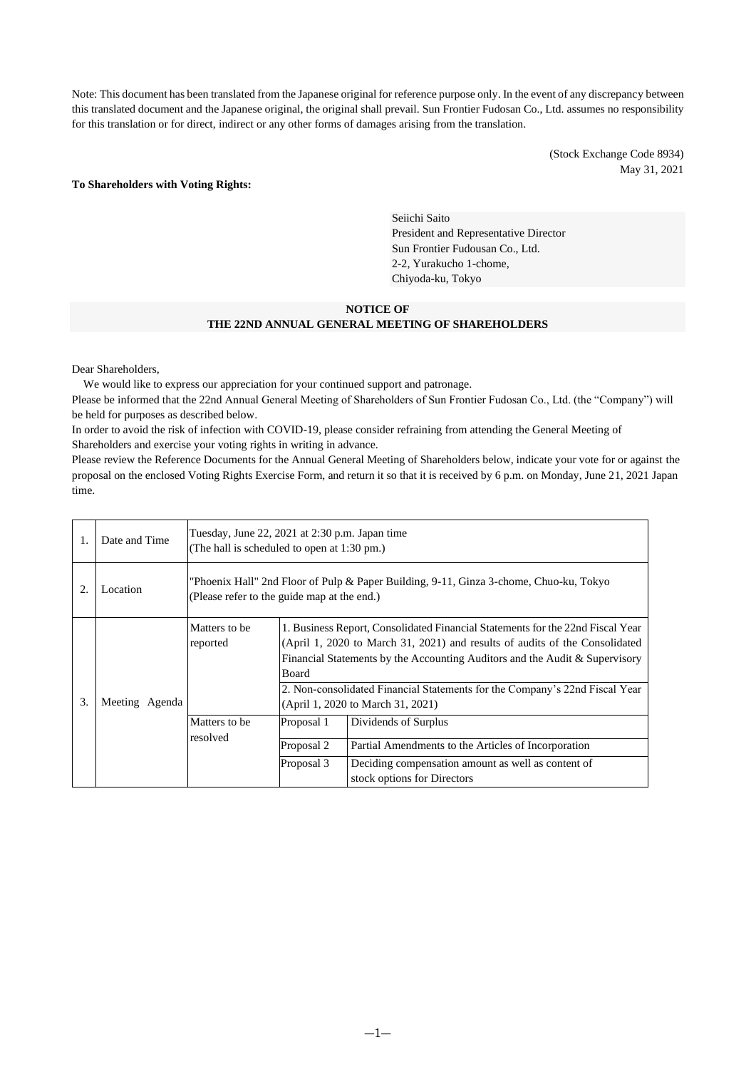Note: This document has been translated from the Japanese original for reference purpose only. In the event of any discrepancy between this translated document and the Japanese original, the original shall prevail. Sun Frontier Fudosan Co., Ltd. assumes no responsibility for this translation or for direct, indirect or any other forms of damages arising from the translation.

> (Stock Exchange Code 8934) May 31, 2021

#### **To Shareholders with Voting Rights:**

Seiichi Saito President and Representative Director Sun Frontier Fudousan Co., Ltd. 2-2, Yurakucho 1-chome, Chiyoda-ku, Tokyo

#### **NOTICE OF THE 22ND ANNUAL GENERAL MEETING OF SHAREHOLDERS**

Dear Shareholders,

We would like to express our appreciation for your continued support and patronage.

Please be informed that the 22nd Annual General Meeting of Shareholders of Sun Frontier Fudosan Co., Ltd. (the "Company") will be held for purposes as described below.

In order to avoid the risk of infection with COVID-19, please consider refraining from attending the General Meeting of Shareholders and exercise your voting rights in writing in advance.

Please review the Reference Documents for the Annual General Meeting of Shareholders below, indicate your vote for or against the proposal on the enclosed Voting Rights Exercise Form, and return it so that it is received by 6 p.m. on Monday, June 21, 2021 Japan time.

| 1. | Date and Time  | Tuesday, June 22, 2021 at 2:30 p.m. Japan time<br>(The hall is scheduled to open at 1:30 pm.)                                         |                                                                                                                                                                                                                                                                                                                                                                                  |                                                                                   |  |
|----|----------------|---------------------------------------------------------------------------------------------------------------------------------------|----------------------------------------------------------------------------------------------------------------------------------------------------------------------------------------------------------------------------------------------------------------------------------------------------------------------------------------------------------------------------------|-----------------------------------------------------------------------------------|--|
|    | Location       | "Phoenix Hall" 2nd Floor of Pulp & Paper Building, 9-11, Ginza 3-chome, Chuo-ku, Tokyo<br>(Please refer to the guide map at the end.) |                                                                                                                                                                                                                                                                                                                                                                                  |                                                                                   |  |
| 3. | Meeting Agenda | Matters to be<br>reported                                                                                                             | 1. Business Report, Consolidated Financial Statements for the 22nd Fiscal Year<br>(April 1, 2020 to March 31, 2021) and results of audits of the Consolidated<br>Financial Statements by the Accounting Auditors and the Audit & Supervisory<br><b>Board</b><br>2. Non-consolidated Financial Statements for the Company's 22nd Fiscal Year<br>(April 1, 2020 to March 31, 2021) |                                                                                   |  |
|    |                | Matters to be<br>resolved                                                                                                             | Proposal 1                                                                                                                                                                                                                                                                                                                                                                       | Dividends of Surplus                                                              |  |
|    |                |                                                                                                                                       | Proposal 2                                                                                                                                                                                                                                                                                                                                                                       | Partial Amendments to the Articles of Incorporation                               |  |
|    |                |                                                                                                                                       | Proposal 3                                                                                                                                                                                                                                                                                                                                                                       | Deciding compensation amount as well as content of<br>stock options for Directors |  |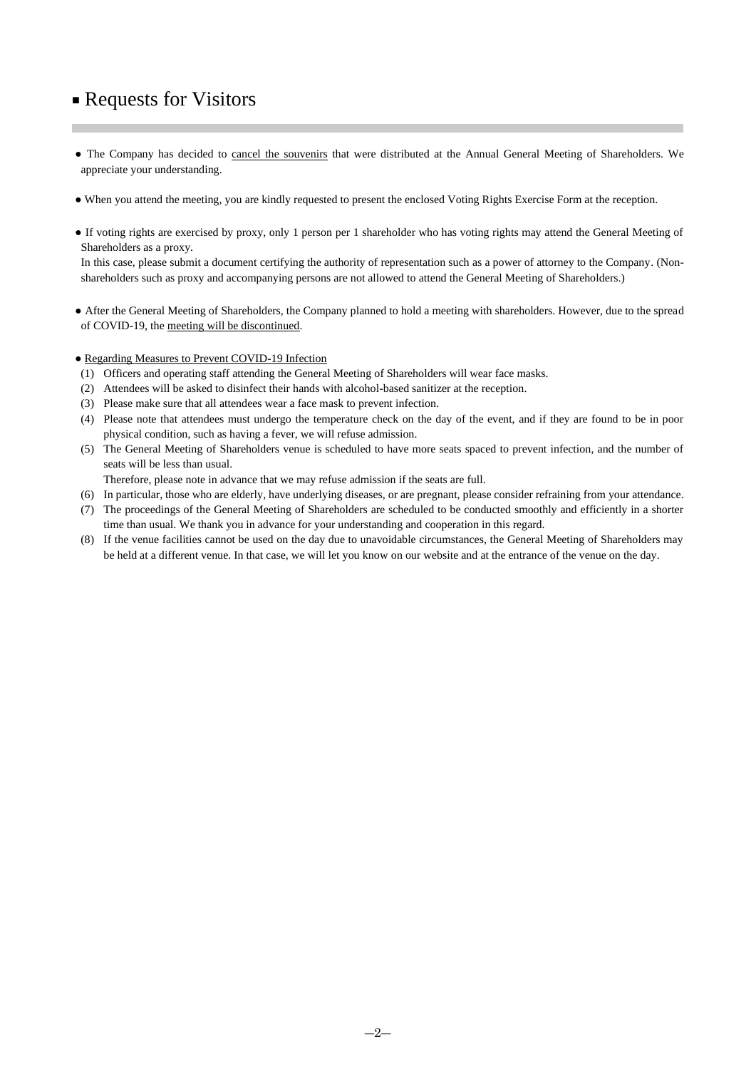# ■ Requests for Visitors

- The Company has decided to cancel the souvenirs that were distributed at the Annual General Meeting of Shareholders. We appreciate your understanding.
- When you attend the meeting, you are kindly requested to present the enclosed Voting Rights Exercise Form at the reception.
- If voting rights are exercised by proxy, only 1 person per 1 shareholder who has voting rights may attend the General Meeting of Shareholders as a proxy.

In this case, please submit a document certifying the authority of representation such as a power of attorney to the Company. (Nonshareholders such as proxy and accompanying persons are not allowed to attend the General Meeting of Shareholders.)

- After the General Meeting of Shareholders, the Company planned to hold a meeting with shareholders. However, due to the spread of COVID-19, the meeting will be discontinued.
- Regarding Measures to Prevent COVID-19 Infection
- (1) Officers and operating staff attending the General Meeting of Shareholders will wear face masks.
- (2) Attendees will be asked to disinfect their hands with alcohol-based sanitizer at the reception.
- (3) Please make sure that all attendees wear a face mask to prevent infection.
- (4) Please note that attendees must undergo the temperature check on the day of the event, and if they are found to be in poor physical condition, such as having a fever, we will refuse admission.
- (5) The General Meeting of Shareholders venue is scheduled to have more seats spaced to prevent infection, and the number of seats will be less than usual.
- Therefore, please note in advance that we may refuse admission if the seats are full.
- (6) In particular, those who are elderly, have underlying diseases, or are pregnant, please consider refraining from your attendance.
- (7) The proceedings of the General Meeting of Shareholders are scheduled to be conducted smoothly and efficiently in a shorter time than usual. We thank you in advance for your understanding and cooperation in this regard.
- (8) If the venue facilities cannot be used on the day due to unavoidable circumstances, the General Meeting of Shareholders may be held at a different venue. In that case, we will let you know on our website and at the entrance of the venue on the day.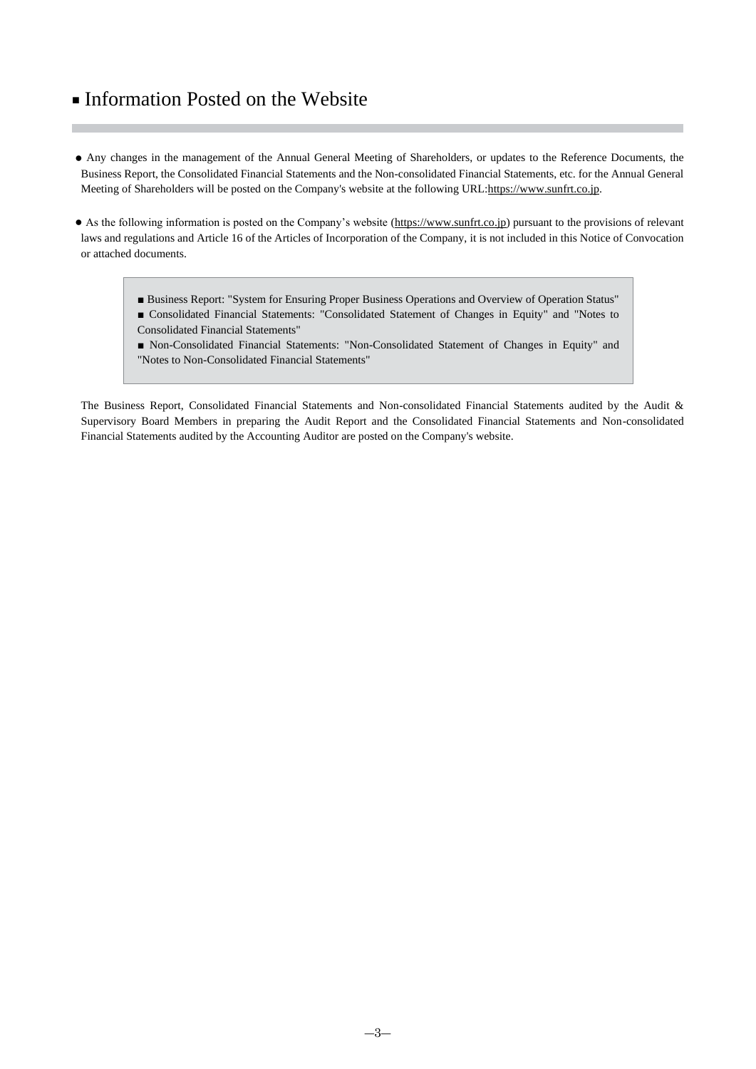# ■ Information Posted on the Website

- Any changes in the management of the Annual General Meeting of Shareholders, or updates to the Reference Documents, the Business Report, the Consolidated Financial Statements and the Non-consolidated Financial Statements, etc. for the Annual General Meeting of Shareholders will be posted on the Company's website at the following URL[:https://www.sunfrt.co.jp.](https://www.sunfrt.co.jp/)
- As the following information is posted on the Company's website [\(https://www.sunfrt.co.jp\)](https://www.sunfrt.co.jp/) pursuant to the provisions of relevant laws and regulations and Article 16 of the Articles of Incorporation of the Company, it is not included in this Notice of Convocation or attached documents.
	- Business Report: "System for Ensuring Proper Business Operations and Overview of Operation Status" ■ Consolidated Financial Statements: "Consolidated Statement of Changes in Equity" and "Notes to
	- Consolidated Financial Statements"
	- Non-Consolidated Financial Statements: "Non-Consolidated Statement of Changes in Equity" and "Notes to Non-Consolidated Financial Statements"

The Business Report, Consolidated Financial Statements and Non-consolidated Financial Statements audited by the Audit & Supervisory Board Members in preparing the Audit Report and the Consolidated Financial Statements and Non-consolidated Financial Statements audited by the Accounting Auditor are posted on the Company's website.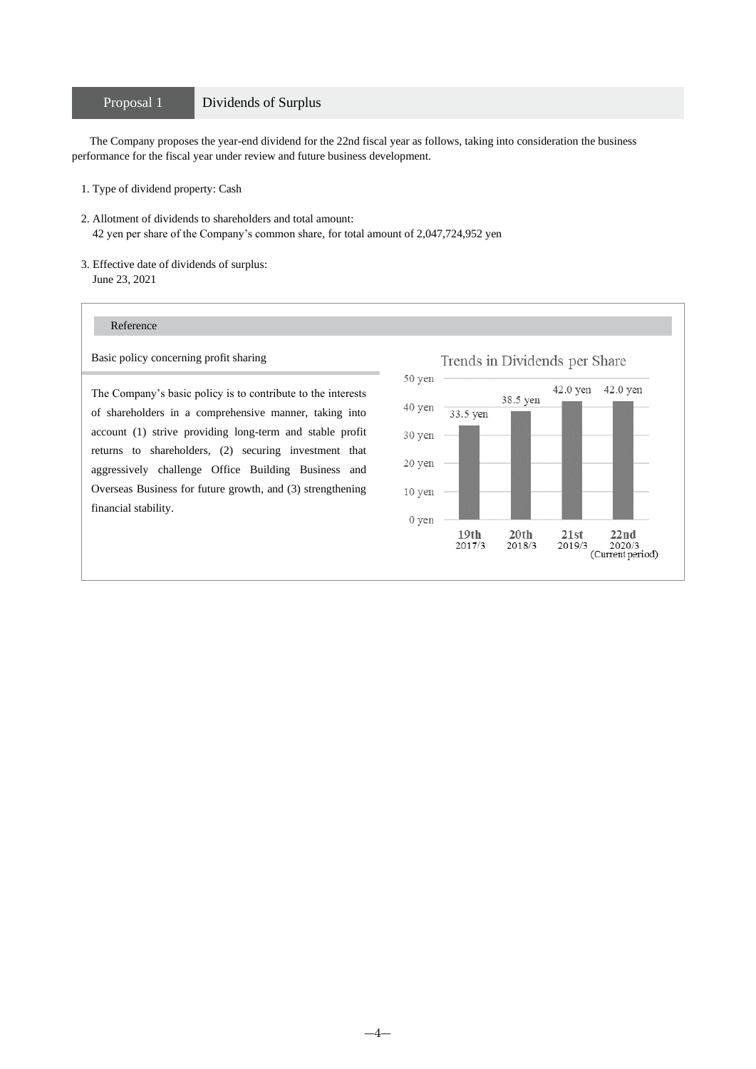### Proposal 1 Dividends of Surplus

The Company proposes the year-end dividend for the 22nd fiscal year as follows, taking into consideration the business performance for the fiscal year under review and future business development.

- 1. Type of dividend property: Cash
- 2. Allotment of dividends to shareholders and total amount: 42 yen per share of the Company's common share, for total amount of 2,047,724,952 yen
- 3. Effective date of dividends of surplus: June 23, 2021

### Reference

Basic policy concerning profit sharing

The Company's basic policy is to contribute to the interests of shareholders in a comprehensive manner, taking into account (1) strive providing long-term and stable profit returns to shareholders, (2) securing investment that aggressively challenge Office Building Business and Overseas Business for future growth, and (3) strengthening financial stability.

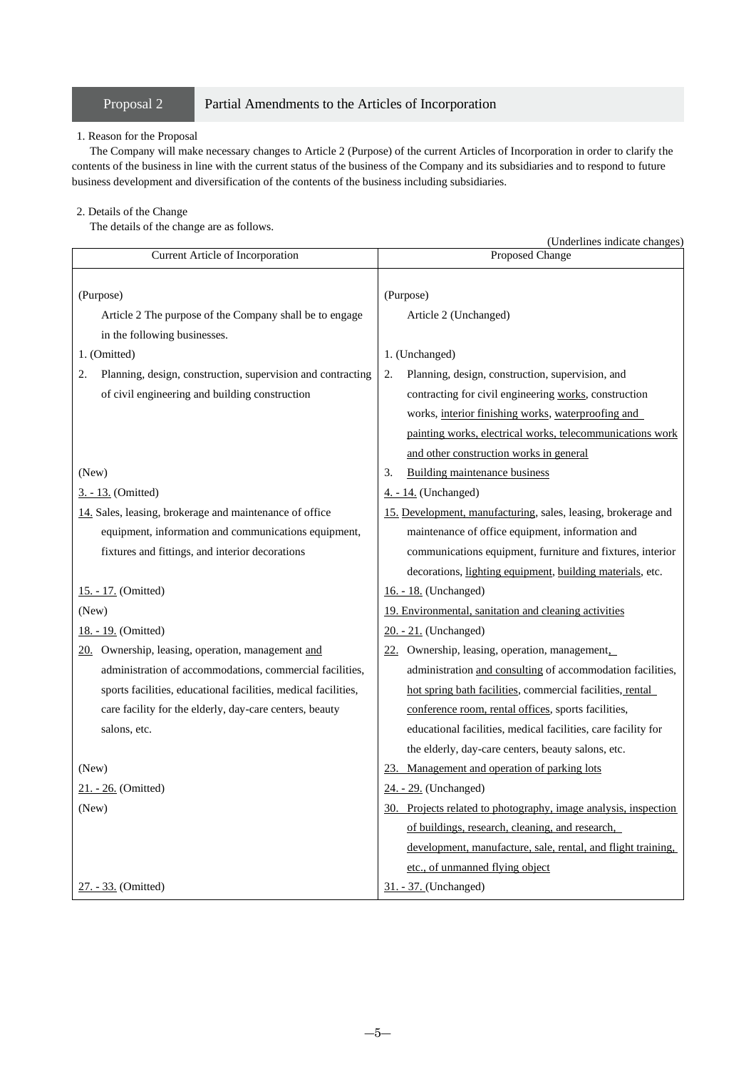### Proposal 2 Partial Amendments to the Articles of Incorporation

### 1. Reason for the Proposal

The Company will make necessary changes to Article 2 (Purpose) of the current Articles of Incorporation in order to clarify the contents of the business in line with the current status of the business of the Company and its subsidiaries and to respond to future business development and diversification of the contents of the business including subsidiaries.

#### 2. Details of the Change

The details of the change are as follows.

|                                                                   | (Underlines indicate changes)                                   |  |  |
|-------------------------------------------------------------------|-----------------------------------------------------------------|--|--|
| Current Article of Incorporation                                  | Proposed Change                                                 |  |  |
| (Purpose)                                                         | (Purpose)                                                       |  |  |
| Article 2 The purpose of the Company shall be to engage           | Article 2 (Unchanged)                                           |  |  |
| in the following businesses.                                      |                                                                 |  |  |
| 1. (Omitted)                                                      | 1. (Unchanged)                                                  |  |  |
| 2.<br>Planning, design, construction, supervision and contracting | 2.<br>Planning, design, construction, supervision, and          |  |  |
| of civil engineering and building construction                    | contracting for civil engineering works, construction           |  |  |
|                                                                   | works, interior finishing works, waterproofing and              |  |  |
|                                                                   | painting works, electrical works, telecommunications work       |  |  |
|                                                                   | and other construction works in general                         |  |  |
| (New)                                                             | <b>Building maintenance business</b><br>3.                      |  |  |
| <u>3. - 13.</u> (Omitted)                                         | 4. - 14. (Unchanged)                                            |  |  |
| 14. Sales, leasing, brokerage and maintenance of office           | 15. Development, manufacturing, sales, leasing, brokerage and   |  |  |
| equipment, information and communications equipment,              | maintenance of office equipment, information and                |  |  |
| fixtures and fittings, and interior decorations                   | communications equipment, furniture and fixtures, interior      |  |  |
|                                                                   | decorations, lighting equipment, building materials, etc.       |  |  |
| 15. - 17. (Omitted)                                               | 16. - 18. (Unchanged)                                           |  |  |
| (New)                                                             | 19. Environmental, sanitation and cleaning activities           |  |  |
| 18. - 19. (Omitted)                                               | 20. - 21. (Unchanged)                                           |  |  |
| 20. Ownership, leasing, operation, management and                 | 22. Ownership, leasing, operation, management,                  |  |  |
| administration of accommodations, commercial facilities,          | administration and consulting of accommodation facilities,      |  |  |
| sports facilities, educational facilities, medical facilities,    | hot spring bath facilities, commercial facilities, rental       |  |  |
| care facility for the elderly, day-care centers, beauty           | conference room, rental offices, sports facilities,             |  |  |
| salons, etc.                                                      | educational facilities, medical facilities, care facility for   |  |  |
|                                                                   | the elderly, day-care centers, beauty salons, etc.              |  |  |
| (New)                                                             | Management and operation of parking lots<br>23.                 |  |  |
| 21. - 26. (Omitted)                                               | 24. - 29. (Unchanged)                                           |  |  |
| (New)                                                             | 30. Projects related to photography, image analysis, inspection |  |  |
|                                                                   | of buildings, research, cleaning, and research,                 |  |  |
|                                                                   | development, manufacture, sale, rental, and flight training,    |  |  |
|                                                                   | etc., of unmanned flying object                                 |  |  |
| 27. - 33. (Omitted)                                               | 31. - 37. (Unchanged)                                           |  |  |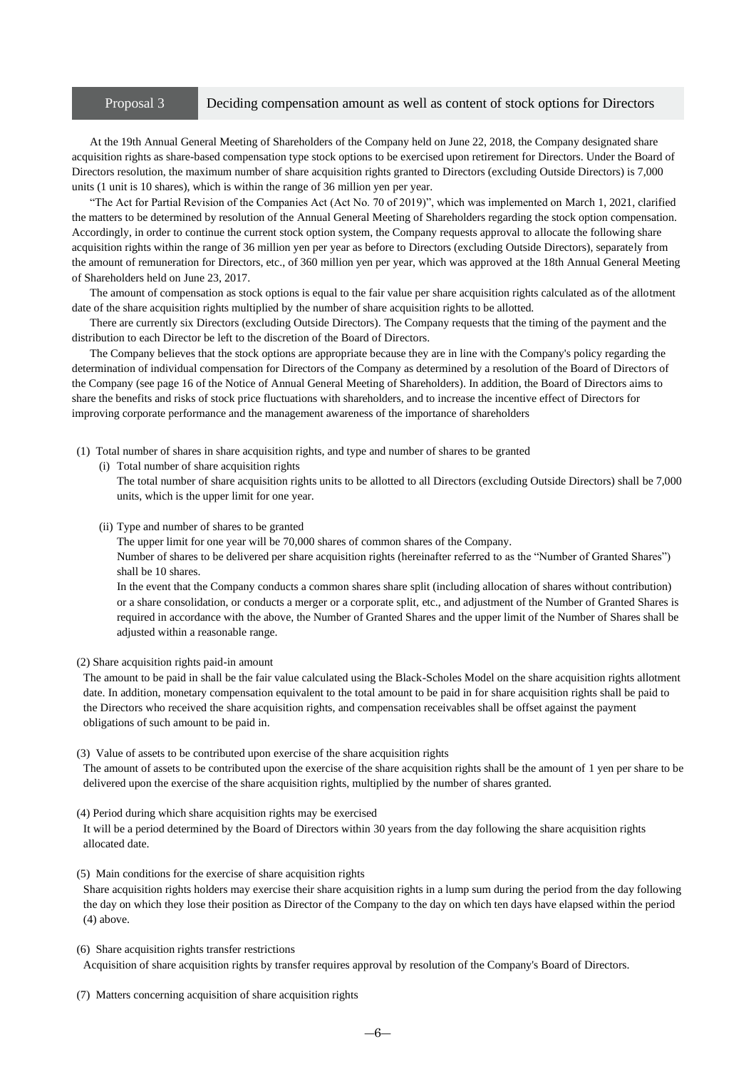#### Proposal 3 Deciding compensation amount as well as content of stock options for Directors

At the 19th Annual General Meeting of Shareholders of the Company held on June 22, 2018, the Company designated share acquisition rights as share-based compensation type stock options to be exercised upon retirement for Directors. Under the Board of Directors resolution, the maximum number of share acquisition rights granted to Directors (excluding Outside Directors) is 7,000 units (1 unit is 10 shares), which is within the range of 36 million yen per year.

"The Act for Partial Revision of the Companies Act (Act No. 70 of 2019)", which was implemented on March 1, 2021, clarified the matters to be determined by resolution of the Annual General Meeting of Shareholders regarding the stock option compensation. Accordingly, in order to continue the current stock option system, the Company requests approval to allocate the following share acquisition rights within the range of 36 million yen per year as before to Directors (excluding Outside Directors), separately from the amount of remuneration for Directors, etc., of 360 million yen per year, which was approved at the 18th Annual General Meeting of Shareholders held on June 23, 2017.

The amount of compensation as stock options is equal to the fair value per share acquisition rights calculated as of the allotment date of the share acquisition rights multiplied by the number of share acquisition rights to be allotted.

There are currently six Directors (excluding Outside Directors). The Company requests that the timing of the payment and the distribution to each Director be left to the discretion of the Board of Directors.

The Company believes that the stock options are appropriate because they are in line with the Company's policy regarding the determination of individual compensation for Directors of the Company as determined by a resolution of the Board of Directors of the Company (see page 16 of the Notice of Annual General Meeting of Shareholders). In addition, the Board of Directors aims to share the benefits and risks of stock price fluctuations with shareholders, and to increase the incentive effect of Directors for improving corporate performance and the management awareness of the importance of shareholders

(1) Total number of shares in share acquisition rights, and type and number of shares to be granted

(i) Total number of share acquisition rights

The total number of share acquisition rights units to be allotted to all Directors (excluding Outside Directors) shall be 7,000 units, which is the upper limit for one year.

(ii) Type and number of shares to be granted

The upper limit for one year will be 70,000 shares of common shares of the Company.

Number of shares to be delivered per share acquisition rights (hereinafter referred to as the "Number of Granted Shares") shall be 10 shares.

In the event that the Company conducts a common shares share split (including allocation of shares without contribution) or a share consolidation, or conducts a merger or a corporate split, etc., and adjustment of the Number of Granted Shares is required in accordance with the above, the Number of Granted Shares and the upper limit of the Number of Shares shall be adjusted within a reasonable range.

(2) Share acquisition rights paid-in amount

The amount to be paid in shall be the fair value calculated using the Black-Scholes Model on the share acquisition rights allotment date. In addition, monetary compensation equivalent to the total amount to be paid in for share acquisition rights shall be paid to the Directors who received the share acquisition rights, and compensation receivables shall be offset against the payment obligations of such amount to be paid in.

(3) Value of assets to be contributed upon exercise of the share acquisition rights

The amount of assets to be contributed upon the exercise of the share acquisition rights shall be the amount of 1 yen per share to be delivered upon the exercise of the share acquisition rights, multiplied by the number of shares granted.

(4) Period during which share acquisition rights may be exercised

It will be a period determined by the Board of Directors within 30 years from the day following the share acquisition rights allocated date.

(5) Main conditions for the exercise of share acquisition rights

Share acquisition rights holders may exercise their share acquisition rights in a lump sum during the period from the day following the day on which they lose their position as Director of the Company to the day on which ten days have elapsed within the period (4) above.

(6) Share acquisition rights transfer restrictions

Acquisition of share acquisition rights by transfer requires approval by resolution of the Company's Board of Directors.

(7) Matters concerning acquisition of share acquisition rights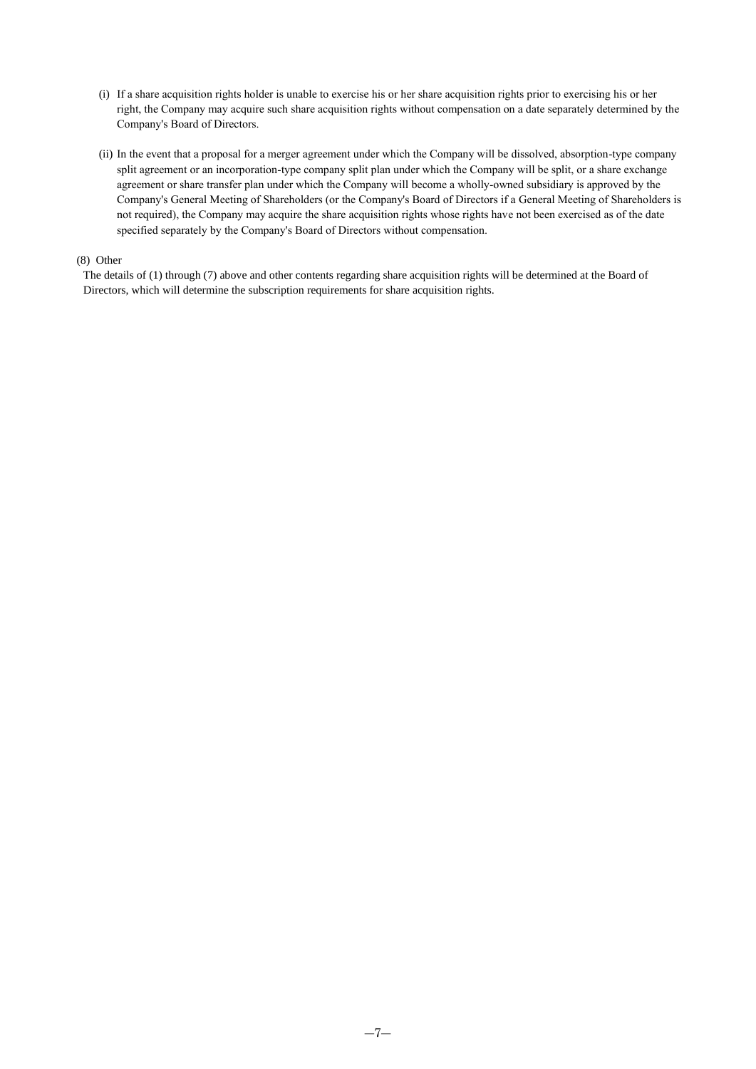- (i) If a share acquisition rights holder is unable to exercise his or her share acquisition rights prior to exercising his or her right, the Company may acquire such share acquisition rights without compensation on a date separately determined by the Company's Board of Directors.
- (ii) In the event that a proposal for a merger agreement under which the Company will be dissolved, absorption-type company split agreement or an incorporation-type company split plan under which the Company will be split, or a share exchange agreement or share transfer plan under which the Company will become a wholly-owned subsidiary is approved by the Company's General Meeting of Shareholders (or the Company's Board of Directors if a General Meeting of Shareholders is not required), the Company may acquire the share acquisition rights whose rights have not been exercised as of the date specified separately by the Company's Board of Directors without compensation.

### (8) Other

The details of (1) through (7) above and other contents regarding share acquisition rights will be determined at the Board of Directors, which will determine the subscription requirements for share acquisition rights.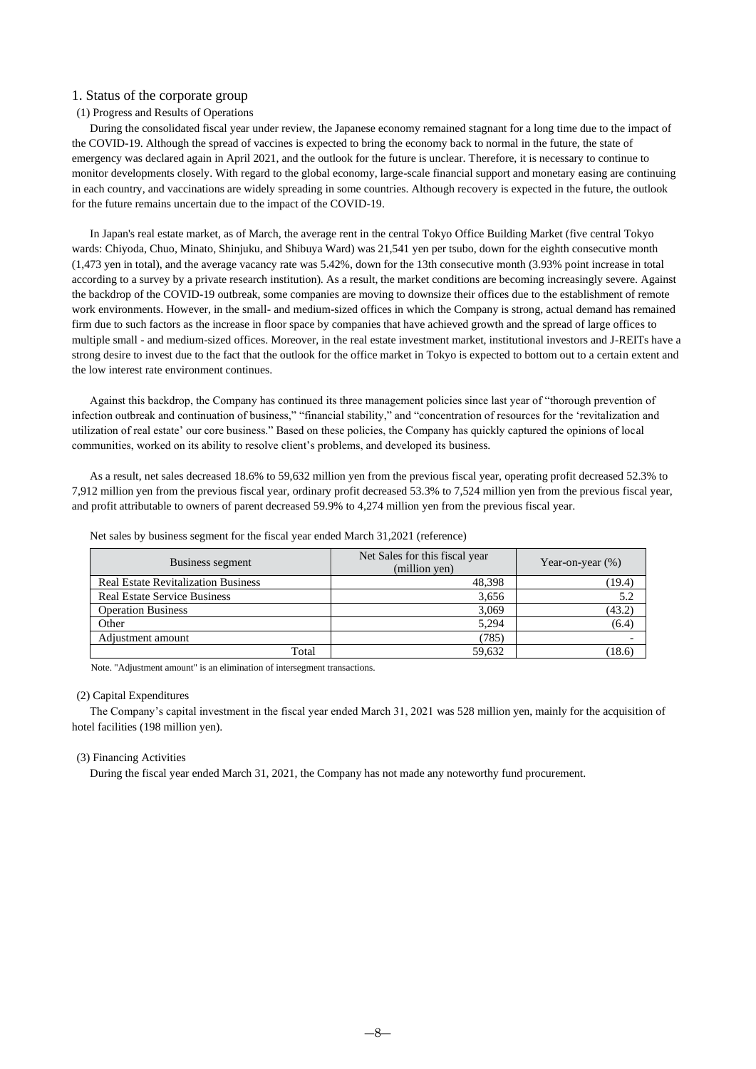### 1. Status of the corporate group

#### (1) Progress and Results of Operations

During the consolidated fiscal year under review, the Japanese economy remained stagnant for a long time due to the impact of the COVID-19. Although the spread of vaccines is expected to bring the economy back to normal in the future, the state of emergency was declared again in April 2021, and the outlook for the future is unclear. Therefore, it is necessary to continue to monitor developments closely. With regard to the global economy, large-scale financial support and monetary easing are continuing in each country, and vaccinations are widely spreading in some countries. Although recovery is expected in the future, the outlook for the future remains uncertain due to the impact of the COVID-19.

In Japan's real estate market, as of March, the average rent in the central Tokyo Office Building Market (five central Tokyo wards: Chiyoda, Chuo, Minato, Shinjuku, and Shibuya Ward) was 21,541 yen per tsubo, down for the eighth consecutive month (1,473 yen in total), and the average vacancy rate was 5.42%, down for the 13th consecutive month (3.93% point increase in total according to a survey by a private research institution). As a result, the market conditions are becoming increasingly severe. Against the backdrop of the COVID-19 outbreak, some companies are moving to downsize their offices due to the establishment of remote work environments. However, in the small- and medium-sized offices in which the Company is strong, actual demand has remained firm due to such factors as the increase in floor space by companies that have achieved growth and the spread of large offices to multiple small - and medium-sized offices. Moreover, in the real estate investment market, institutional investors and J-REITs have a strong desire to invest due to the fact that the outlook for the office market in Tokyo is expected to bottom out to a certain extent and the low interest rate environment continues.

Against this backdrop, the Company has continued its three management policies since last year of "thorough prevention of infection outbreak and continuation of business," "financial stability," and "concentration of resources for the 'revitalization and utilization of real estate' our core business." Based on these policies, the Company has quickly captured the opinions of local communities, worked on its ability to resolve client's problems, and developed its business.

As a result, net sales decreased 18.6% to 59,632 million yen from the previous fiscal year, operating profit decreased 52.3% to 7,912 million yen from the previous fiscal year, ordinary profit decreased 53.3% to 7,524 million yen from the previous fiscal year, and profit attributable to owners of parent decreased 59.9% to 4,274 million yen from the previous fiscal year.

| Business segment                           | Net Sales for this fiscal year<br>(million yen) | Year-on-year $(\%)$ |
|--------------------------------------------|-------------------------------------------------|---------------------|
| <b>Real Estate Revitalization Business</b> | 48,398                                          | (19.4)              |
| <b>Real Estate Service Business</b>        | 3,656                                           | 5.2                 |
| <b>Operation Business</b>                  | 3,069                                           | (43.2)              |
| Other                                      | 5,294                                           | (6.4)               |
| Adjustment amount                          | (785)                                           |                     |
| Total                                      | 59,632                                          | (18.6)              |

Net sales by business segment for the fiscal year ended March 31,2021 (reference)

Note. "Adjustment amount" is an elimination of intersegment transactions.

#### (2) Capital Expenditures

The Company's capital investment in the fiscal year ended March 31, 2021 was 528 million yen, mainly for the acquisition of hotel facilities (198 million yen).

#### (3) Financing Activities

During the fiscal year ended March 31, 2021, the Company has not made any noteworthy fund procurement.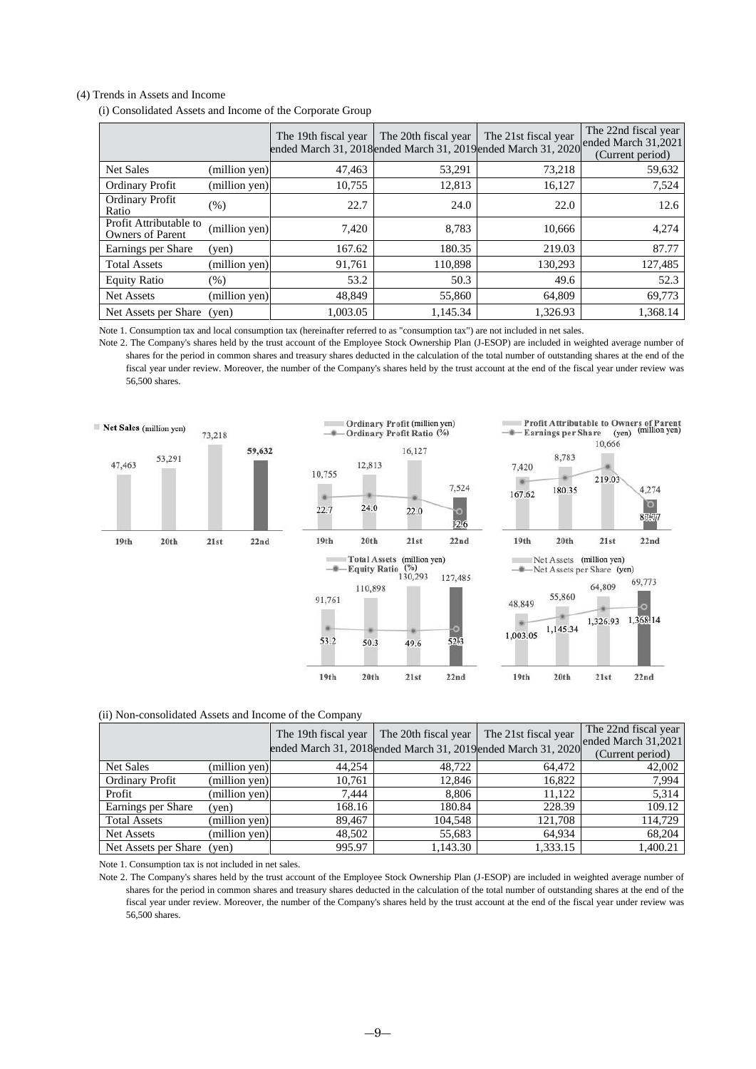#### (4) Trends in Assets and Income

(i) Consolidated Assets and Income of the Corporate Group

|                                                   |               | The 19th fiscal year | The 20th fiscal year<br>ended March 31, 2018 ended March 31, 2019 ended March 31, 2020 | The 21st fiscal year | The 22nd fiscal year<br>ended March 31,2021<br>(Current period) |
|---------------------------------------------------|---------------|----------------------|----------------------------------------------------------------------------------------|----------------------|-----------------------------------------------------------------|
| <b>Net Sales</b>                                  | (million yen) | 47,463               | 53,291                                                                                 | 73,218               | 59,632                                                          |
| <b>Ordinary Profit</b>                            | (million yen) | 10,755               | 12,813                                                                                 | 16,127               | 7,524                                                           |
| Ordinary Profit<br>Ratio                          | (%)           | 22.7                 | 24.0                                                                                   | 22.0                 | 12.6                                                            |
| Profit Attributable to<br><b>Owners of Parent</b> | (million yen) | 7,420                | 8,783                                                                                  | 10,666               | 4,274                                                           |
| Earnings per Share                                | (ven)         | 167.62               | 180.35                                                                                 | 219.03               | 87.77                                                           |
| <b>Total Assets</b>                               | (million yen) | 91,761               | 110,898                                                                                | 130.293              | 127,485                                                         |
| <b>Equity Ratio</b>                               | $(\%)$        | 53.2                 | 50.3                                                                                   | 49.6                 | 52.3                                                            |
| <b>Net Assets</b>                                 | (million yen) | 48.849               | 55,860                                                                                 | 64.809               | 69,773                                                          |
| Net Assets per Share                              | (ven)         | 1,003.05             | 1,145.34                                                                               | 1,326.93             | 1,368.14                                                        |

Note 1. Consumption tax and local consumption tax (hereinafter referred to as "consumption tax") are not included in net sales.

Note 2. The Company's shares held by the trust account of the Employee Stock Ownership Plan (J-ESOP) are included in weighted average number of shares for the period in common shares and treasury shares deducted in the calculation of the total number of outstanding shares at the end of the fiscal year under review. Moreover, the number of the Company's shares held by the trust account at the end of the fiscal year under review was 56,500 shares.



#### (ii) Non-consolidated Assets and Income of the Company

|                            |               | The 19th fiscal year | The 20th fiscal year                                         | The 21st fiscal year | The 22nd fiscal year<br>ended March 31,2021 |
|----------------------------|---------------|----------------------|--------------------------------------------------------------|----------------------|---------------------------------------------|
|                            |               |                      | ended March 31, 2018ended March 31, 2019ended March 31, 2020 |                      | (Current period)                            |
| <b>Net Sales</b>           | (million yen) | 44.254               | 48.722                                                       | 64.472               | 42,002                                      |
| <b>Ordinary Profit</b>     | (million yen) | 10.761               | 12,846                                                       | 16.822               | 7,994                                       |
| Profit                     | (million yen) | 7.444                | 8.806                                                        | 11.122               | 5,314                                       |
| Earnings per Share         | ven)          | 168.16               | 180.84                                                       | 228.39               | 109.12                                      |
| <b>Total Assets</b>        | (million yen) | 89.467               | 104.548                                                      | 121.708              | 114,729                                     |
| <b>Net Assets</b>          | (million yen) | 48.502               | 55.683                                                       | 64.934               | 68,204                                      |
| Net Assets per Share (yen) |               | 995.97               | 1.143.30                                                     | 1,333.15             | 1.400.21                                    |

Note 1. Consumption tax is not included in net sales.

Note 2. The Company's shares held by the trust account of the Employee Stock Ownership Plan (J-ESOP) are included in weighted average number of shares for the period in common shares and treasury shares deducted in the calculation of the total number of outstanding shares at the end of the fiscal year under review. Moreover, the number of the Company's shares held by the trust account at the end of the fiscal year under review was 56,500 shares.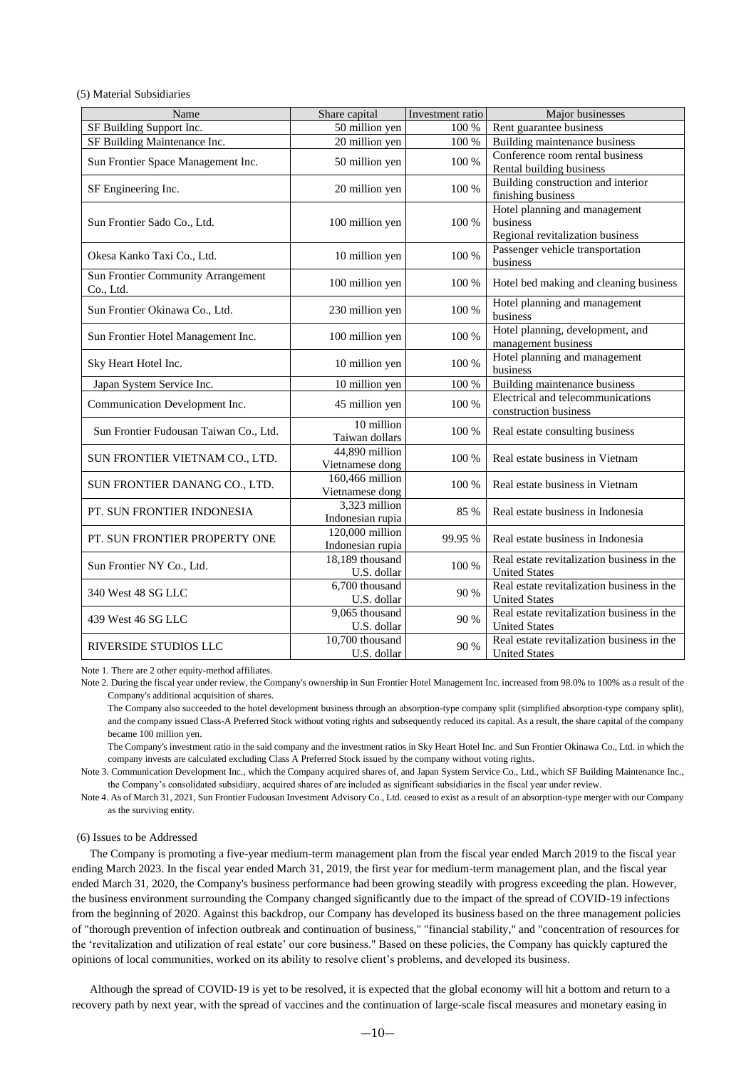(5) Material Subsidiaries

| Name                                            | Share capital                       | Investment ratio | Major businesses                                                              |
|-------------------------------------------------|-------------------------------------|------------------|-------------------------------------------------------------------------------|
| SF Building Support Inc.                        | 50 million yen                      | 100 %            | Rent guarantee business                                                       |
| SF Building Maintenance Inc.                    | 20 million yen                      | 100 %            | Building maintenance business                                                 |
| Sun Frontier Space Management Inc.              | 50 million yen                      | 100 %            | Conference room rental business<br>Rental building business                   |
| SF Engineering Inc.                             | 20 million yen                      | $100\,\%$        | Building construction and interior<br>finishing business                      |
| Sun Frontier Sado Co., Ltd.                     | 100 million yen                     | 100 %            | Hotel planning and management<br>business<br>Regional revitalization business |
| Okesa Kanko Taxi Co., Ltd.                      | 10 million yen                      | 100 %            | Passenger vehicle transportation<br>business                                  |
| Sun Frontier Community Arrangement<br>Co., Ltd. | 100 million yen                     | 100 %            | Hotel bed making and cleaning business                                        |
| Sun Frontier Okinawa Co., Ltd.                  | 230 million yen                     | 100 %            | Hotel planning and management<br>business                                     |
| Sun Frontier Hotel Management Inc.              | 100 million yen                     | 100 %            | Hotel planning, development, and<br>management business                       |
| Sky Heart Hotel Inc.                            | 10 million yen                      | 100 %            | Hotel planning and management<br>business                                     |
| Japan System Service Inc.                       | 10 million yen                      | 100 %            | Building maintenance business                                                 |
| Communication Development Inc.                  | 45 million yen                      | 100 %            | Electrical and telecommunications<br>construction business                    |
| Sun Frontier Fudousan Taiwan Co., Ltd.          | 10 million<br>Taiwan dollars        | 100 %            | Real estate consulting business                                               |
| SUN FRONTIER VIETNAM CO., LTD.                  | 44,890 million<br>Vietnamese dong   | 100 %            | Real estate business in Vietnam                                               |
| SUN FRONTIER DANANG CO., LTD.                   | 160,466 million<br>Vietnamese dong  | 100 %            | Real estate business in Vietnam                                               |
| PT. SUN FRONTIER INDONESIA                      | 3,323 million<br>Indonesian rupia   | 85 %             | Real estate business in Indonesia                                             |
| PT. SUN FRONTIER PROPERTY ONE                   | 120,000 million<br>Indonesian rupia | 99.95 %          | Real estate business in Indonesia                                             |
| Sun Frontier NY Co., Ltd.                       | 18,189 thousand<br>U.S. dollar      | 100 %            | Real estate revitalization business in the<br><b>United States</b>            |
| 340 West 48 SG LLC                              | 6,700 thousand<br>U.S. dollar       | 90 %             | Real estate revitalization business in the<br><b>United States</b>            |
| 439 West 46 SG LLC                              | 9,065 thousand<br>U.S. dollar       | 90 %             | Real estate revitalization business in the<br><b>United States</b>            |
| RIVERSIDE STUDIOS LLC                           | 10,700 thousand<br>U.S. dollar      | 90 %             | Real estate revitalization business in the<br><b>United States</b>            |

Note 1. There are 2 other equity-method affiliates.

Note 2. During the fiscal year under review, the Company's ownership in Sun Frontier Hotel Management Inc. increased from 98.0% to 100% as a result of the Company's additional acquisition of shares.

The Company also succeeded to the hotel development business through an absorption-type company split (simplified absorption-type company split), and the company issued Class-A Preferred Stock without voting rights and subsequently reduced its capital. As a result, the share capital of the company became 100 million yen.

The Company's investment ratio in the said company and the investment ratios in Sky Heart Hotel Inc. and Sun Frontier Okinawa Co., Ltd. in which the company invests are calculated excluding Class A Preferred Stock issued by the company without voting rights.

Note 3. Communication Development Inc., which the Company acquired shares of, and Japan System Service Co., Ltd., which SF Building Maintenance Inc., the Company's consolidated subsidiary, acquired shares of are included as significant subsidiaries in the fiscal year under review.

Note 4. As of March 31, 2021, Sun Frontier Fudousan Investment Advisory Co., Ltd. ceased to exist as a result of an absorption-type merger with our Company as the surviving entity.

#### (6) Issues to be Addressed

The Company is promoting a five-year medium-term management plan from the fiscal year ended March 2019 to the fiscal year ending March 2023. In the fiscal year ended March 31, 2019, the first year for medium-term management plan, and the fiscal year ended March 31, 2020, the Company's business performance had been growing steadily with progress exceeding the plan. However, the business environment surrounding the Company changed significantly due to the impact of the spread of COVID-19 infections from the beginning of 2020. Against this backdrop, our Company has developed its business based on the three management policies of "thorough prevention of infection outbreak and continuation of business," "financial stability," and "concentration of resources for the 'revitalization and utilization of real estate' our core business." Based on these policies, the Company has quickly captured the opinions of local communities, worked on its ability to resolve client's problems, and developed its business.

Although the spread of COVID-19 is yet to be resolved, it is expected that the global economy will hit a bottom and return to a recovery path by next year, with the spread of vaccines and the continuation of large-scale fiscal measures and monetary easing in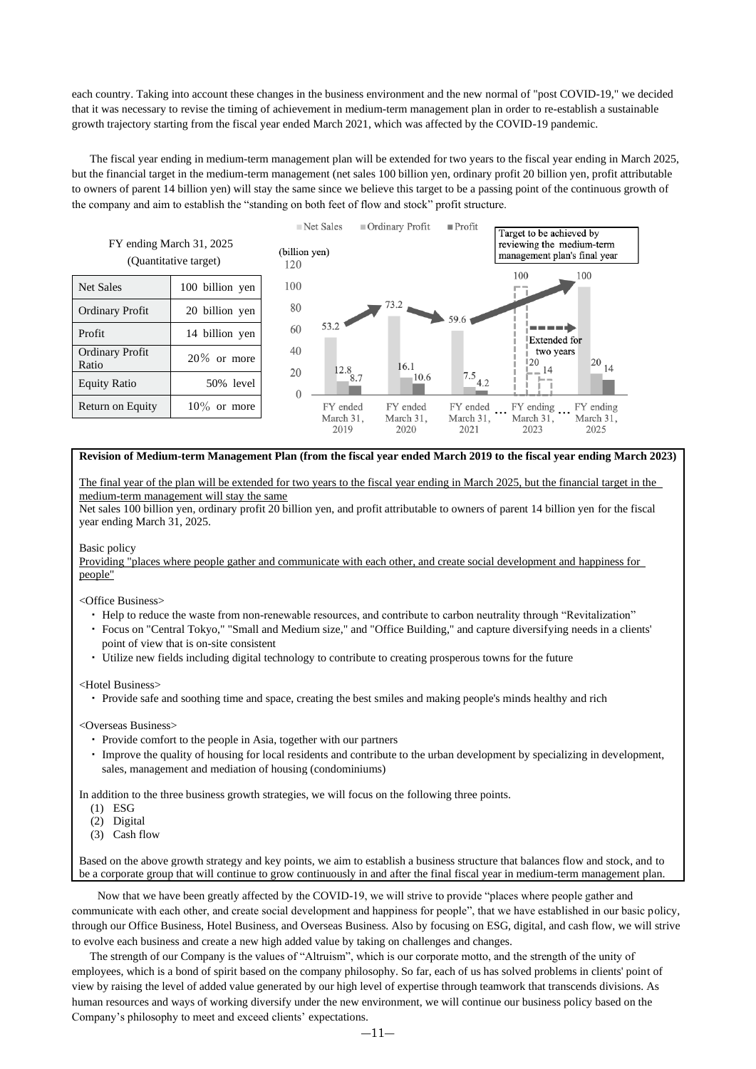each country. Taking into account these changes in the business environment and the new normal of "post COVID-19," we decided that it was necessary to revise the timing of achievement in medium-term management plan in order to re-establish a sustainable growth trajectory starting from the fiscal year ended March 2021, which was affected by the COVID-19 pandemic.

The fiscal year ending in medium-term management plan will be extended for two years to the fiscal year ending in March 2025, but the financial target in the medium-term management (net sales 100 billion yen, ordinary profit 20 billion yen, profit attributable to owners of parent 14 billion yen) will stay the same since we believe this target to be a passing point of the continuous growth of the company and aim to establish the "standing on both feet of flow and stock" profit structure.



**Revision of Medium-term Management Plan (from the fiscal year ended March 2019 to the fiscal year ending March 2023)**

The final year of the plan will be extended for two years to the fiscal year ending in March 2025, but the financial target in the medium-term management will stay the same

Net sales 100 billion yen, ordinary profit 20 billion yen, and profit attributable to owners of parent 14 billion yen for the fiscal year ending March 31, 2025.

#### Basic policy

Providing "places where people gather and communicate with each other, and create social development and happiness for people"

<Office Business>

- ・ Help to reduce the waste from non-renewable resources, and contribute to carbon neutrality through "Revitalization"
- ・ Focus on "Central Tokyo," "Small and Medium size," and "Office Building," and capture diversifying needs in a clients' point of view that is on-site consistent
- ・ Utilize new fields including digital technology to contribute to creating prosperous towns for the future

<Hotel Business>

・ Provide safe and soothing time and space, creating the best smiles and making people's minds healthy and rich

<Overseas Business>

- ・ Provide comfort to the people in Asia, together with our partners
- ・ Improve the quality of housing for local residents and contribute to the urban development by specializing in development, sales, management and mediation of housing (condominiums)

In addition to the three business growth strategies, we will focus on the following three points.

- (1) ESG
- (2) Digital
- (3) Cash flow

Based on the above growth strategy and key points, we aim to establish a business structure that balances flow and stock, and to be a corporate group that will continue to grow continuously in and after the final fiscal year in medium-term management plan.

Now that we have been greatly affected by the COVID-19, we will strive to provide "places where people gather and communicate with each other, and create social development and happiness for people", that we have established in our basic policy, through our Office Business, Hotel Business, and Overseas Business. Also by focusing on ESG, digital, and cash flow, we will strive to evolve each business and create a new high added value by taking on challenges and changes.

The strength of our Company is the values of "Altruism", which is our corporate motto, and the strength of the unity of employees, which is a bond of spirit based on the company philosophy. So far, each of us has solved problems in clients' point of view by raising the level of added value generated by our high level of expertise through teamwork that transcends divisions. As human resources and ways of working diversify under the new environment, we will continue our business policy based on the Company's philosophy to meet and exceed clients' expectations.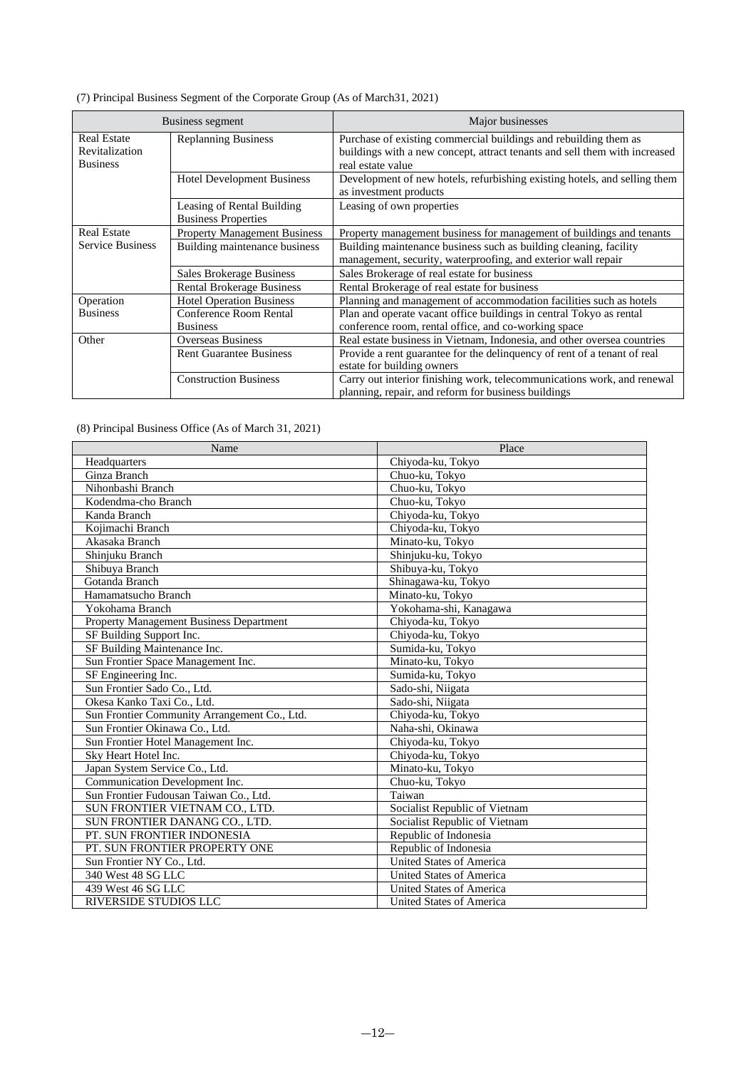| (7) Principal Business Segment of the Corporate Group (As of March 31, 2021) |  |  |  |  |
|------------------------------------------------------------------------------|--|--|--|--|
|                                                                              |  |  |  |  |

|                                                                                       | Business segment                                         | Major businesses                                                                                                                                                    |
|---------------------------------------------------------------------------------------|----------------------------------------------------------|---------------------------------------------------------------------------------------------------------------------------------------------------------------------|
| <b>Real Estate</b><br><b>Replanning Business</b><br>Revitalization<br><b>Business</b> |                                                          | Purchase of existing commercial buildings and rebuilding them as<br>buildings with a new concept, attract tenants and sell them with increased<br>real estate value |
|                                                                                       | <b>Hotel Development Business</b>                        | Development of new hotels, refurbishing existing hotels, and selling them<br>as investment products                                                                 |
|                                                                                       | Leasing of Rental Building<br><b>Business Properties</b> | Leasing of own properties                                                                                                                                           |
| <b>Real Estate</b><br><b>Property Management Business</b>                             |                                                          | Property management business for management of buildings and tenants                                                                                                |
| <b>Service Business</b>                                                               | Building maintenance business                            | Building maintenance business such as building cleaning, facility<br>management, security, waterproofing, and exterior wall repair                                  |
|                                                                                       | Sales Brokerage Business                                 | Sales Brokerage of real estate for business                                                                                                                         |
|                                                                                       | <b>Rental Brokerage Business</b>                         | Rental Brokerage of real estate for business                                                                                                                        |
| Operation                                                                             | <b>Hotel Operation Business</b>                          | Planning and management of accommodation facilities such as hotels                                                                                                  |
| <b>Business</b>                                                                       | Conference Room Rental<br><b>Business</b>                | Plan and operate vacant office buildings in central Tokyo as rental<br>conference room, rental office, and co-working space                                         |
| <b>Overseas Business</b><br>Other                                                     |                                                          | Real estate business in Vietnam, Indonesia, and other oversea countries                                                                                             |
|                                                                                       | <b>Rent Guarantee Business</b>                           | Provide a rent guarantee for the delinquency of rent of a tenant of real<br>estate for building owners                                                              |
|                                                                                       | <b>Construction Business</b>                             | Carry out interior finishing work, telecommunications work, and renewal<br>planning, repair, and reform for business buildings                                      |

(8) Principal Business Office (As of March 31, 2021)

| Name                                         | Place                           |  |
|----------------------------------------------|---------------------------------|--|
| Headquarters                                 | Chiyoda-ku, Tokyo               |  |
| Ginza Branch                                 | Chuo-ku, Tokyo                  |  |
| Nihonbashi Branch                            | Chuo-ku, Tokyo                  |  |
| Kodendma-cho Branch                          | Chuo-ku, Tokyo                  |  |
| Kanda Branch                                 | Chiyoda-ku, Tokyo               |  |
| Kojimachi Branch                             | Chiyoda-ku, Tokyo               |  |
| Akasaka Branch                               | Minato-ku, Tokyo                |  |
| Shinjuku Branch                              | Shinjuku-ku, Tokyo              |  |
| Shibuya Branch                               | Shibuya-ku, Tokyo               |  |
| Gotanda Branch                               | Shinagawa-ku, Tokyo             |  |
| Hamamatsucho Branch                          | Minato-ku, Tokyo                |  |
| Yokohama Branch                              | Yokohama-shi, Kanagawa          |  |
| Property Management Business Department      | Chiyoda-ku, Tokyo               |  |
| SF Building Support Inc.                     | Chiyoda-ku, Tokyo               |  |
| SF Building Maintenance Inc.                 | Sumida-ku, Tokyo                |  |
| Sun Frontier Space Management Inc.           | Minato-ku, Tokyo                |  |
| SF Engineering Inc.                          | Sumida-ku, Tokvo                |  |
| Sun Frontier Sado Co., Ltd.                  | Sado-shi, Niigata               |  |
| Okesa Kanko Taxi Co., Ltd.                   | Sado-shi, Niigata               |  |
| Sun Frontier Community Arrangement Co., Ltd. | Chiyoda-ku, Tokyo               |  |
| Sun Frontier Okinawa Co., Ltd.               | Naha-shi, Okinawa               |  |
| Sun Frontier Hotel Management Inc.           | Chiyoda-ku, Tokyo               |  |
| Sky Heart Hotel Inc.                         | Chiyoda-ku, Tokyo               |  |
| Japan System Service Co., Ltd.               | Minato-ku, Tokyo                |  |
| Communication Development Inc.               | Chuo-ku, Tokyo                  |  |
| Sun Frontier Fudousan Taiwan Co., Ltd.       | Taiwan                          |  |
| SUN FRONTIER VIETNAM CO., LTD.               | Socialist Republic of Vietnam   |  |
| SUN FRONTIER DANANG CO., LTD.                | Socialist Republic of Vietnam   |  |
| PT. SUN FRONTIER INDONESIA                   | Republic of Indonesia           |  |
| PT. SUN FRONTIER PROPERTY ONE                | Republic of Indonesia           |  |
| Sun Frontier NY Co., Ltd.                    | United States of America        |  |
| 340 West 48 SG LLC                           | United States of America        |  |
| 439 West 46 SG LLC                           | <b>United States of America</b> |  |
| <b>RIVERSIDE STUDIOS LLC</b>                 | United States of America        |  |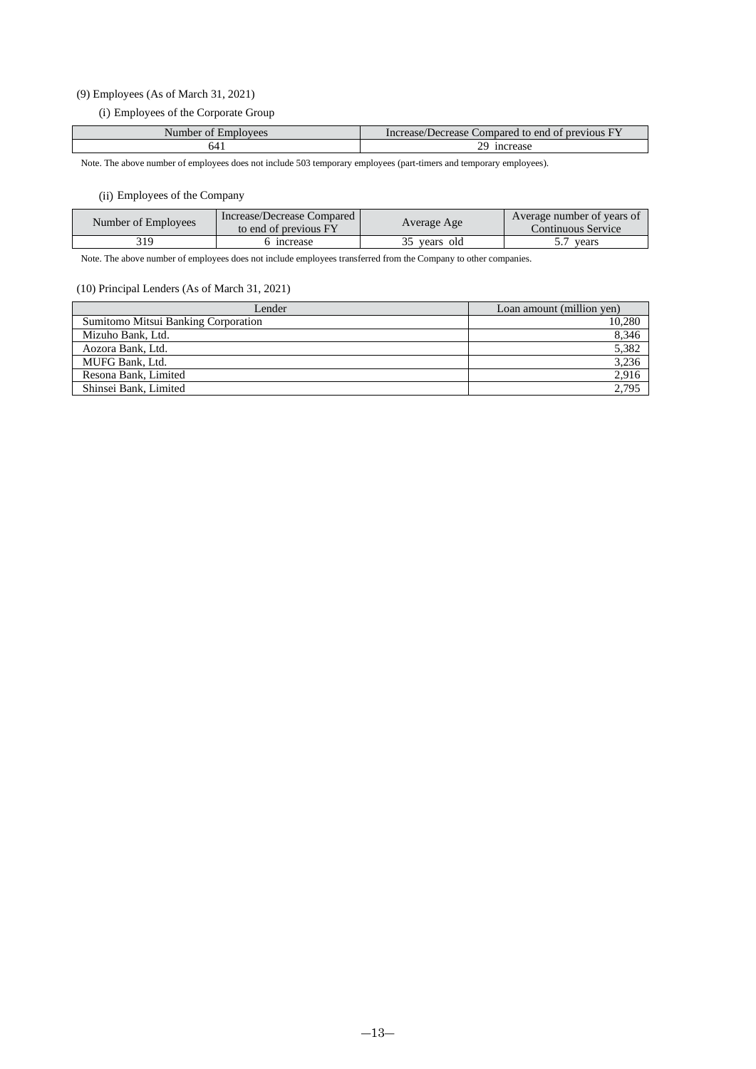### (9) Employees (As of March 31, 2021)

(i) Employees of the Corporate Group

| Number of Employees | Increase/Decrease Compared to end of previous FY |
|---------------------|--------------------------------------------------|
| 64 I                | <sub>1</sub> ncrease                             |

Note. The above number of employees does not include 503 temporary employees (part-timers and temporary employees).

### (ii) Employees of the Company

| Number of Employees | Increase/Decrease Compared<br>to end of previous FY | Average Age  | Average number of years of<br>Continuous Service |
|---------------------|-----------------------------------------------------|--------------|--------------------------------------------------|
| 319                 | mcrease                                             | 35 years old | vears                                            |

Note. The above number of employees does not include employees transferred from the Company to other companies.

### (10) Principal Lenders (As of March 31, 2021)

| Lender                              | Loan amount (million yen) |
|-------------------------------------|---------------------------|
| Sumitomo Mitsui Banking Corporation | 10,280                    |
| Mizuho Bank, Ltd.                   | 8,346                     |
| Aozora Bank, Ltd.                   | 5,382                     |
| MUFG Bank, Ltd.                     | 3,236                     |
| Resona Bank, Limited                | 2,916                     |
| Shinsei Bank, Limited               | 2,795                     |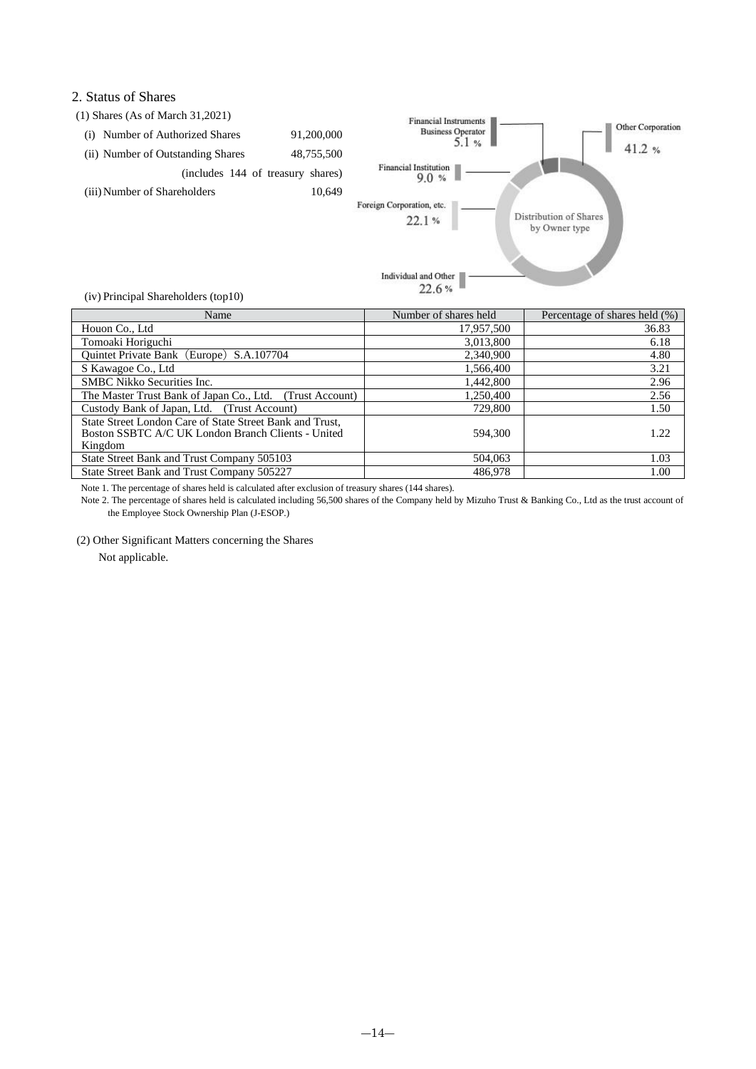### 2. Status of Shares



| Name                                                                                                                      | Number of shares held | Percentage of shares held (%) |
|---------------------------------------------------------------------------------------------------------------------------|-----------------------|-------------------------------|
| Houon Co., Ltd                                                                                                            | 17,957,500            | 36.83                         |
| Tomoaki Horiguchi                                                                                                         | 3,013,800             | 6.18                          |
| Quintet Private Bank (Europe) S.A.107704                                                                                  | 2,340,900             | 4.80                          |
| S Kawagoe Co., Ltd                                                                                                        | 1,566,400             | 3.21                          |
| <b>SMBC</b> Nikko Securities Inc.                                                                                         | 1,442,800             | 2.96                          |
| The Master Trust Bank of Japan Co., Ltd. (Trust Account)                                                                  | 1.250.400             | 2.56                          |
| Custody Bank of Japan, Ltd. (Trust Account)                                                                               | 729,800               | 1.50                          |
| State Street London Care of State Street Bank and Trust,<br>Boston SSBTC A/C UK London Branch Clients - United<br>Kingdom | 594.300               | 1.22                          |
| State Street Bank and Trust Company 505103                                                                                | 504,063               | 1.03                          |
| State Street Bank and Trust Company 505227                                                                                | 486,978               | 1.00                          |

Note 1. The percentage of shares held is calculated after exclusion of treasury shares (144 shares).

Note 2. The percentage of shares held is calculated including 56,500 shares of the Company held by Mizuho Trust & Banking Co., Ltd as the trust account of the Employee Stock Ownership Plan (J-ESOP.)

(2) Other Significant Matters concerning the Shares

Not applicable.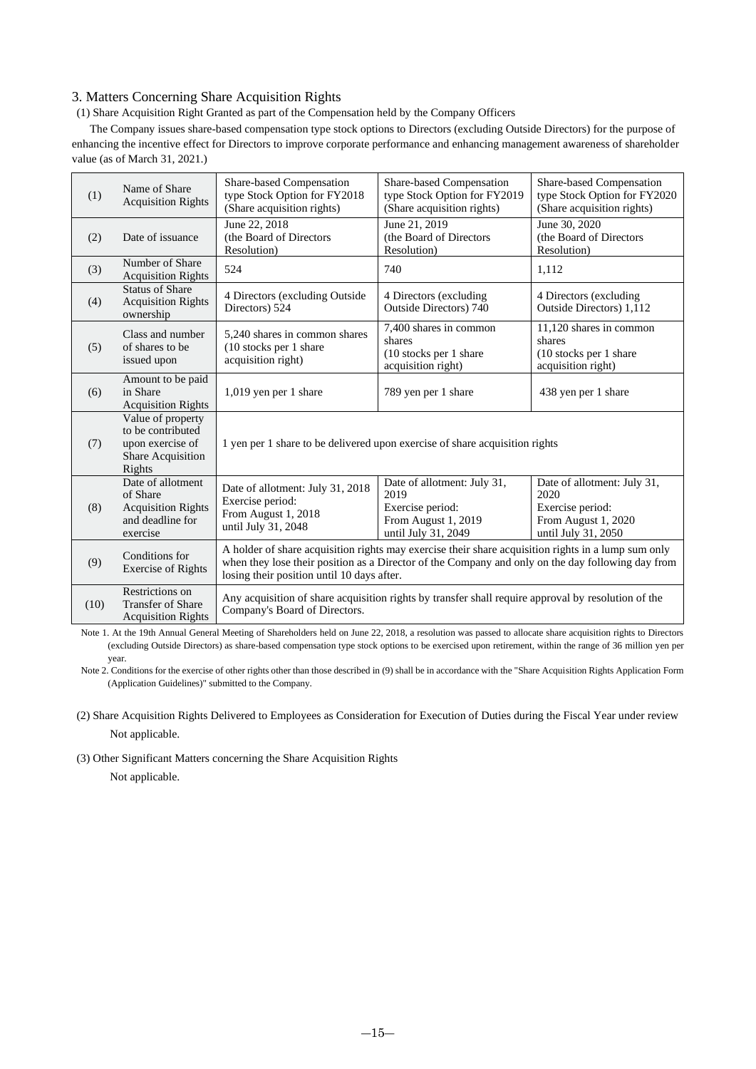### 3. Matters Concerning Share Acquisition Rights

(1) Share Acquisition Right Granted as part of the Compensation held by the Company Officers

The Company issues share-based compensation type stock options to Directors (excluding Outside Directors) for the purpose of enhancing the incentive effect for Directors to improve corporate performance and enhancing management awareness of shareholder value (as of March 31, 2021.)

| (1)  | Name of Share<br><b>Acquisition Rights</b>                                                 | Share-based Compensation<br>type Stock Option for FY2018<br>(Share acquisition rights)                                                                                                                                                                 | Share-based Compensation<br>type Stock Option for FY2019<br>(Share acquisition rights)                | Share-based Compensation<br>type Stock Option for FY2020<br>(Share acquisition rights)                |  |  |
|------|--------------------------------------------------------------------------------------------|--------------------------------------------------------------------------------------------------------------------------------------------------------------------------------------------------------------------------------------------------------|-------------------------------------------------------------------------------------------------------|-------------------------------------------------------------------------------------------------------|--|--|
| (2)  | Date of issuance                                                                           | June 22, 2018<br>(the Board of Directors<br>Resolution)                                                                                                                                                                                                | June 21, 2019<br>(the Board of Directors)<br>Resolution)                                              | June 30, 2020<br>(the Board of Directors<br>Resolution)                                               |  |  |
| (3)  | Number of Share<br><b>Acquisition Rights</b>                                               | 524                                                                                                                                                                                                                                                    | 740                                                                                                   | 1,112                                                                                                 |  |  |
| (4)  | <b>Status of Share</b><br><b>Acquisition Rights</b><br>ownership                           | 4 Directors (excluding Outside<br>Directors) 524                                                                                                                                                                                                       | 4 Directors (excluding<br>Outside Directors) 740                                                      | 4 Directors (excluding)<br>Outside Directors) 1,112                                                   |  |  |
| (5)  | Class and number<br>of shares to be<br>issued upon                                         | 5,240 shares in common shares<br>(10 stocks per 1 share)<br>acquisition right)                                                                                                                                                                         | 7,400 shares in common<br>shares<br>(10 stocks per 1 share)<br>acquisition right)                     | 11,120 shares in common<br>shares<br>(10 stocks per 1 share)<br>acquisition right)                    |  |  |
| (6)  | Amount to be paid<br>in Share<br><b>Acquisition Rights</b>                                 | 1,019 yen per 1 share                                                                                                                                                                                                                                  | 789 yen per 1 share                                                                                   | 438 yen per 1 share                                                                                   |  |  |
| (7)  | Value of property<br>to be contributed<br>upon exercise of<br>Share Acquisition<br>Rights  | 1 yen per 1 share to be delivered upon exercise of share acquisition rights                                                                                                                                                                            |                                                                                                       |                                                                                                       |  |  |
| (8)  | Date of allotment<br>of Share<br><b>Acquisition Rights</b><br>and deadline for<br>exercise | Date of allotment: July 31, 2018<br>Exercise period:<br>From August 1, 2018<br>until July 31, 2048                                                                                                                                                     | Date of allotment: July 31,<br>2019<br>Exercise period:<br>From August 1, 2019<br>until July 31, 2049 | Date of allotment: July 31,<br>2020<br>Exercise period:<br>From August 1, 2020<br>until July 31, 2050 |  |  |
| (9)  | Conditions for<br><b>Exercise of Rights</b>                                                | A holder of share acquisition rights may exercise their share acquisition rights in a lump sum only<br>when they lose their position as a Director of the Company and only on the day following day from<br>losing their position until 10 days after. |                                                                                                       |                                                                                                       |  |  |
| (10) | Restrictions on<br>Transfer of Share<br><b>Acquisition Rights</b>                          | Any acquisition of share acquisition rights by transfer shall require approval by resolution of the<br>Company's Board of Directors.                                                                                                                   |                                                                                                       |                                                                                                       |  |  |

Note 1. At the 19th Annual General Meeting of Shareholders held on June 22, 2018, a resolution was passed to allocate share acquisition rights to Directors (excluding Outside Directors) as share-based compensation type stock options to be exercised upon retirement, within the range of 36 million yen per year.

Note 2. Conditions for the exercise of other rights other than those described in (9) shall be in accordance with the "Share Acquisition Rights Application Form (Application Guidelines)" submitted to the Company.

(2) Share Acquisition Rights Delivered to Employees as Consideration for Execution of Duties during the Fiscal Year under review Not applicable.

(3) Other Significant Matters concerning the Share Acquisition Rights

Not applicable.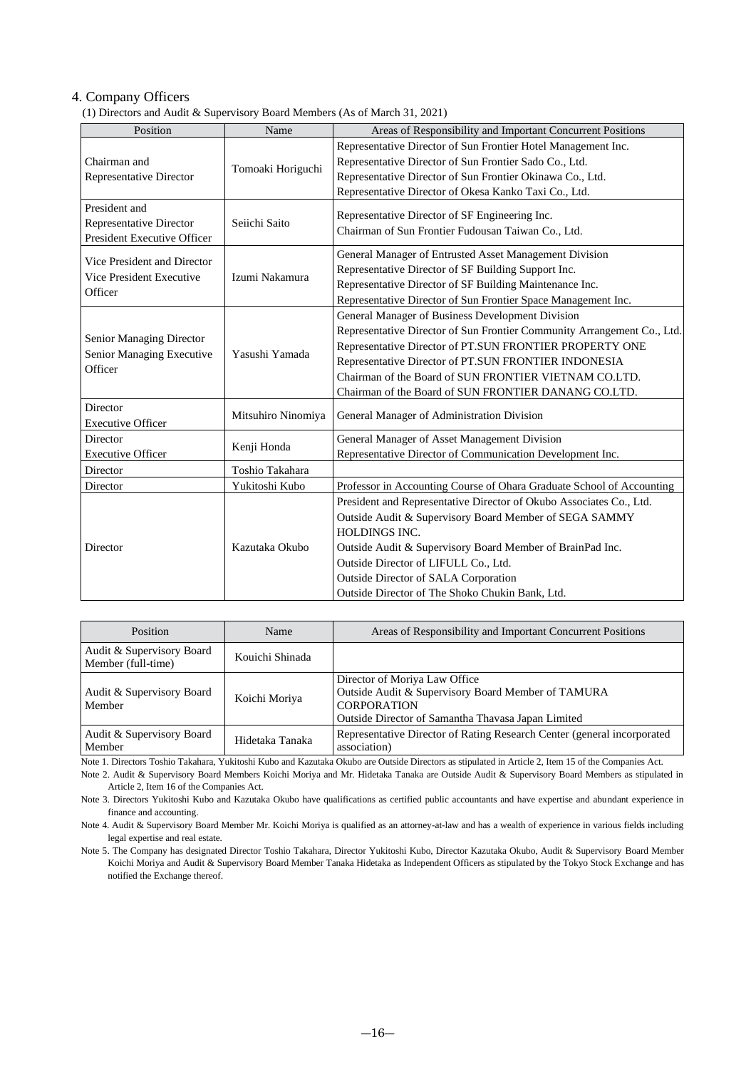### 4. Company Officers

(1) Directors and Audit & Supervisory Board Members (As of March 31, 2021)

| Position                       | Name               | Areas of Responsibility and Important Concurrent Positions              |
|--------------------------------|--------------------|-------------------------------------------------------------------------|
|                                |                    | Representative Director of Sun Frontier Hotel Management Inc.           |
| Chairman and                   |                    | Representative Director of Sun Frontier Sado Co., Ltd.                  |
|                                | Tomoaki Horiguchi  |                                                                         |
| <b>Representative Director</b> |                    | Representative Director of Sun Frontier Okinawa Co., Ltd.               |
|                                |                    | Representative Director of Okesa Kanko Taxi Co., Ltd.                   |
| President and                  |                    | Representative Director of SF Engineering Inc.                          |
| Representative Director        | Seiichi Saito      | Chairman of Sun Frontier Fudousan Taiwan Co., Ltd.                      |
| President Executive Officer    |                    |                                                                         |
| Vice President and Director    |                    | General Manager of Entrusted Asset Management Division                  |
| Vice President Executive       | Izumi Nakamura     | Representative Director of SF Building Support Inc.                     |
| Officer                        |                    | Representative Director of SF Building Maintenance Inc.                 |
|                                |                    | Representative Director of Sun Frontier Space Management Inc.           |
|                                |                    | General Manager of Business Development Division                        |
|                                | Yasushi Yamada     | Representative Director of Sun Frontier Community Arrangement Co., Ltd. |
| Senior Managing Director       |                    | Representative Director of PT.SUN FRONTIER PROPERTY ONE                 |
| Senior Managing Executive      |                    | Representative Director of PT.SUN FRONTIER INDONESIA                    |
| Officer                        |                    | Chairman of the Board of SUN FRONTIER VIETNAM CO.LTD.                   |
|                                |                    | Chairman of the Board of SUN FRONTIER DANANG CO.LTD.                    |
| Director                       |                    |                                                                         |
| <b>Executive Officer</b>       | Mitsuhiro Ninomiya | General Manager of Administration Division                              |
| Director                       |                    | General Manager of Asset Management Division                            |
| <b>Executive Officer</b>       | Kenji Honda        | Representative Director of Communication Development Inc.               |
|                                |                    |                                                                         |
| Director                       | Toshio Takahara    |                                                                         |
| Director                       | Yukitoshi Kubo     | Professor in Accounting Course of Ohara Graduate School of Accounting   |
|                                |                    | President and Representative Director of Okubo Associates Co., Ltd.     |
|                                |                    | Outside Audit & Supervisory Board Member of SEGA SAMMY                  |
|                                | Kazutaka Okubo     | <b>HOLDINGS INC.</b>                                                    |
| Director                       |                    | Outside Audit & Supervisory Board Member of BrainPad Inc.               |
|                                |                    | Outside Director of LIFULL Co., Ltd.                                    |
|                                |                    | Outside Director of SALA Corporation                                    |
|                                |                    | Outside Director of The Shoko Chukin Bank, Ltd.                         |

| Position                                        | Name            | Areas of Responsibility and Important Concurrent Positions                                                                                                      |
|-------------------------------------------------|-----------------|-----------------------------------------------------------------------------------------------------------------------------------------------------------------|
| Audit & Supervisory Board<br>Member (full-time) | Kouichi Shinada |                                                                                                                                                                 |
| Audit & Supervisory Board<br>Member             | Koichi Moriya   | Director of Moriya Law Office<br>Outside Audit & Supervisory Board Member of TAMURA<br><b>CORPORATION</b><br>Outside Director of Samantha Thavasa Japan Limited |
| Audit & Supervisory Board<br>Member             | Hidetaka Tanaka | Representative Director of Rating Research Center (general incorporated<br>association)                                                                         |

Note 1. Directors Toshio Takahara, Yukitoshi Kubo and Kazutaka Okubo are Outside Directors as stipulated in Article 2, Item 15 of the Companies Act.

Note 2. Audit & Supervisory Board Members Koichi Moriya and Mr. Hidetaka Tanaka are Outside Audit & Supervisory Board Members as stipulated in Article 2, Item 16 of the Companies Act.

Note 3. Directors Yukitoshi Kubo and Kazutaka Okubo have qualifications as certified public accountants and have expertise and abundant experience in finance and accounting.

Note 4. Audit & Supervisory Board Member Mr. Koichi Moriya is qualified as an attorney-at-law and has a wealth of experience in various fields including legal expertise and real estate.

Note 5. The Company has designated Director Toshio Takahara, Director Yukitoshi Kubo, Director Kazutaka Okubo, Audit & Supervisory Board Member Koichi Moriya and Audit & Supervisory Board Member Tanaka Hidetaka as Independent Officers as stipulated by the Tokyo Stock Exchange and has notified the Exchange thereof.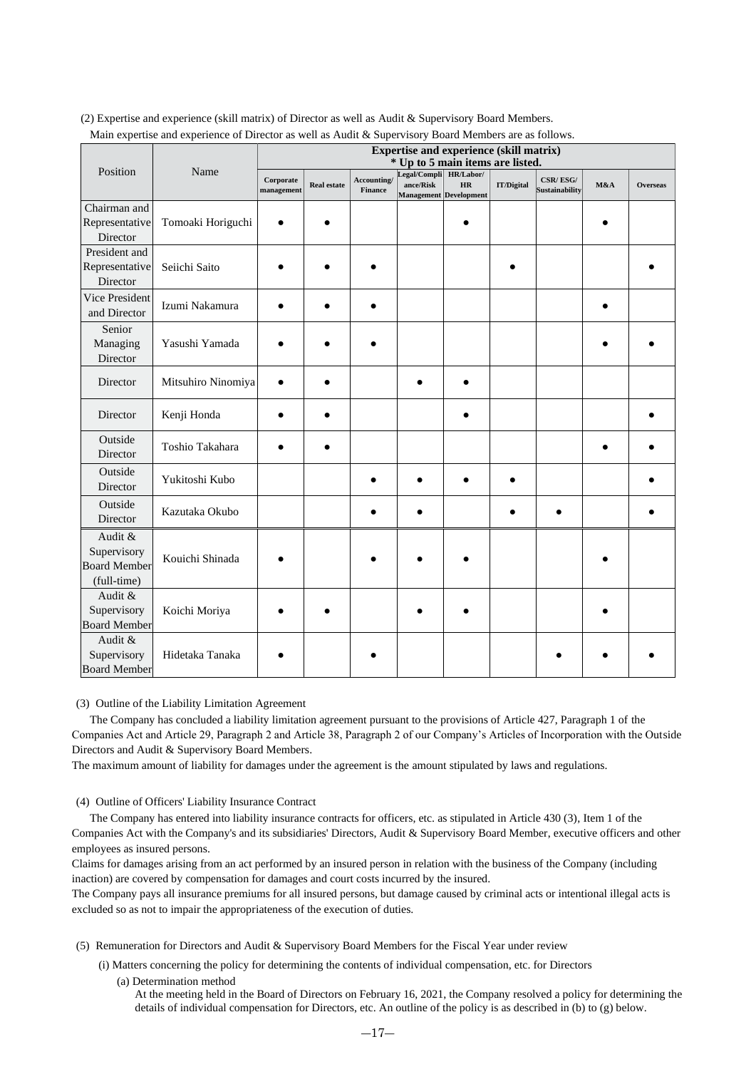| x                                                            |                    | <b>Expertise and experience (skill matrix)</b><br>* Up to 5 main items are listed. |                    |                               |                                                               |           |                   |                            |     |                 |
|--------------------------------------------------------------|--------------------|------------------------------------------------------------------------------------|--------------------|-------------------------------|---------------------------------------------------------------|-----------|-------------------|----------------------------|-----|-----------------|
| Position                                                     | Name               | Corporate<br>management                                                            | <b>Real estate</b> | Accounting/<br><b>Finance</b> | Legal/Compli HR/Labor/<br>ance/Risk<br>Management Development | <b>HR</b> | <b>IT/Digital</b> | CSR/ESG/<br>Sustainability | M&A | <b>Overseas</b> |
| Chairman and<br>Representative<br>Director                   | Tomoaki Horiguchi  |                                                                                    |                    |                               |                                                               |           |                   |                            |     |                 |
| President and<br>Representative<br>Director                  | Seiichi Saito      |                                                                                    |                    |                               |                                                               |           |                   |                            |     |                 |
| Vice President<br>and Director                               | Izumi Nakamura     |                                                                                    |                    |                               |                                                               |           |                   |                            |     |                 |
| Senior<br>Managing<br>Director                               | Yasushi Yamada     |                                                                                    |                    |                               |                                                               |           |                   |                            |     |                 |
| Director                                                     | Mitsuhiro Ninomiya |                                                                                    |                    |                               |                                                               |           |                   |                            |     |                 |
| Director                                                     | Kenji Honda        |                                                                                    |                    |                               |                                                               |           |                   |                            |     |                 |
| Outside<br>Director                                          | Toshio Takahara    |                                                                                    |                    |                               |                                                               |           |                   |                            |     |                 |
| Outside<br>Director                                          | Yukitoshi Kubo     |                                                                                    |                    |                               |                                                               |           |                   |                            |     |                 |
| Outside<br>Director                                          | Kazutaka Okubo     |                                                                                    |                    |                               |                                                               |           |                   |                            |     |                 |
| Audit &<br>Supervisory<br><b>Board Member</b><br>(full-time) | Kouichi Shinada    |                                                                                    |                    |                               |                                                               |           |                   |                            |     |                 |
| Audit &<br>Supervisory<br><b>Board Member</b>                | Koichi Moriya      |                                                                                    |                    |                               |                                                               |           |                   |                            |     |                 |
| Audit &<br>Supervisory<br><b>Board Member</b>                | Hidetaka Tanaka    |                                                                                    |                    |                               |                                                               |           |                   |                            |     |                 |

(2) Expertise and experience (skill matrix) of Director as well as Audit & Supervisory Board Members. Main expertise and experience of Director as well as Audit & Supervisory Board Members are as follows.

(3) Outline of the Liability Limitation Agreement

The Company has concluded a liability limitation agreement pursuant to the provisions of Article 427, Paragraph 1 of the Companies Act and Article 29, Paragraph 2 and Article 38, Paragraph 2 of our Company's Articles of Incorporation with the Outside Directors and Audit & Supervisory Board Members.

The maximum amount of liability for damages under the agreement is the amount stipulated by laws and regulations.

(4) Outline of Officers' Liability Insurance Contract

The Company has entered into liability insurance contracts for officers, etc. as stipulated in Article 430 (3), Item 1 of the Companies Act with the Company's and its subsidiaries' Directors, Audit & Supervisory Board Member, executive officers and other employees as insured persons.

Claims for damages arising from an act performed by an insured person in relation with the business of the Company (including inaction) are covered by compensation for damages and court costs incurred by the insured.

The Company pays all insurance premiums for all insured persons, but damage caused by criminal acts or intentional illegal acts is excluded so as not to impair the appropriateness of the execution of duties.

(5) Remuneration for Directors and Audit & Supervisory Board Members for the Fiscal Year under review

(i) Matters concerning the policy for determining the contents of individual compensation, etc. for Directors

(a) Determination method

At the meeting held in the Board of Directors on February 16, 2021, the Company resolved a policy for determining the details of individual compensation for Directors, etc. An outline of the policy is as described in (b) to (g) below.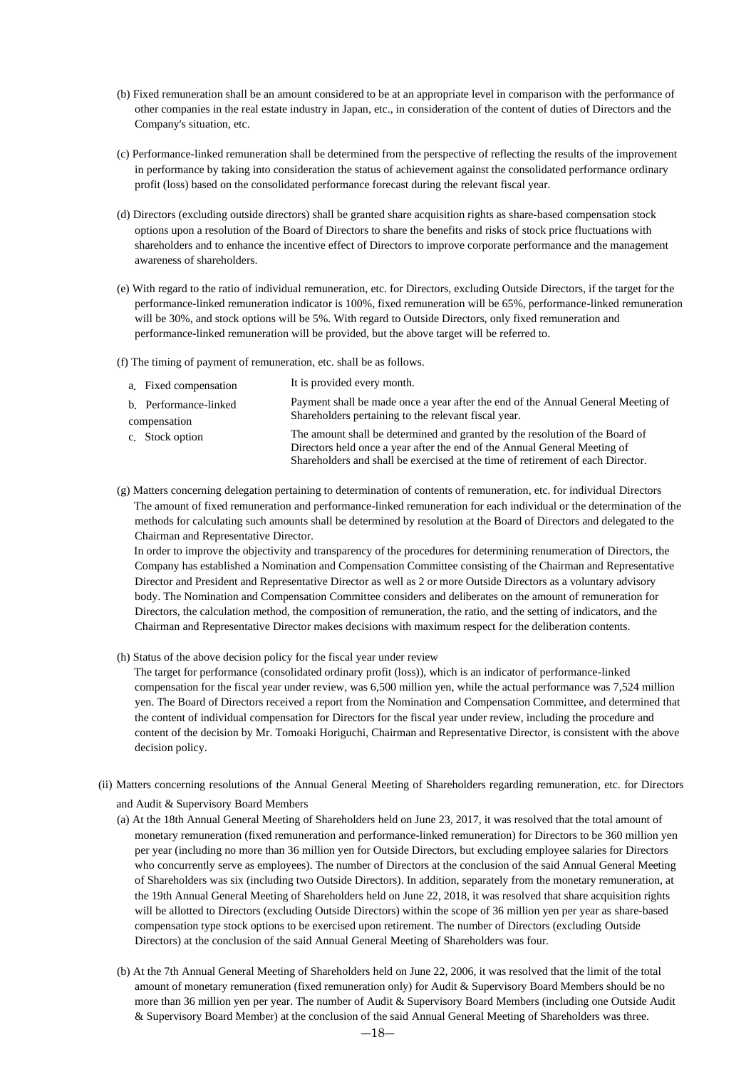- (b) Fixed remuneration shall be an amount considered to be at an appropriate level in comparison with the performance of other companies in the real estate industry in Japan, etc., in consideration of the content of duties of Directors and the Company's situation, etc.
- (c) Performance-linked remuneration shall be determined from the perspective of reflecting the results of the improvement in performance by taking into consideration the status of achievement against the consolidated performance ordinary profit (loss) based on the consolidated performance forecast during the relevant fiscal year.
- (d) Directors (excluding outside directors) shall be granted share acquisition rights as share-based compensation stock options upon a resolution of the Board of Directors to share the benefits and risks of stock price fluctuations with shareholders and to enhance the incentive effect of Directors to improve corporate performance and the management awareness of shareholders.
- (e) With regard to the ratio of individual remuneration, etc. for Directors, excluding Outside Directors, if the target for the performance-linked remuneration indicator is 100%, fixed remuneration will be 65%, performance-linked remuneration will be 30%, and stock options will be 5%. With regard to Outside Directors, only fixed remuneration and performance-linked remuneration will be provided, but the above target will be referred to.
- (f) The timing of payment of remuneration, etc. shall be as follows.

| a. Fixed compensation                 | It is provided every month.                                                                                                                                                                                                                  |
|---------------------------------------|----------------------------------------------------------------------------------------------------------------------------------------------------------------------------------------------------------------------------------------------|
| b. Performance-linked<br>compensation | Payment shall be made once a year after the end of the Annual General Meeting of<br>Shareholders pertaining to the relevant fiscal year.                                                                                                     |
| c. Stock option                       | The amount shall be determined and granted by the resolution of the Board of<br>Directors held once a year after the end of the Annual General Meeting of<br>Shareholders and shall be exercised at the time of retirement of each Director. |

(g) Matters concerning delegation pertaining to determination of contents of remuneration, etc. for individual Directors The amount of fixed remuneration and performance-linked remuneration for each individual or the determination of the methods for calculating such amounts shall be determined by resolution at the Board of Directors and delegated to the Chairman and Representative Director.

In order to improve the objectivity and transparency of the procedures for determining renumeration of Directors, the Company has established a Nomination and Compensation Committee consisting of the Chairman and Representative Director and President and Representative Director as well as 2 or more Outside Directors as a voluntary advisory body. The Nomination and Compensation Committee considers and deliberates on the amount of remuneration for Directors, the calculation method, the composition of remuneration, the ratio, and the setting of indicators, and the Chairman and Representative Director makes decisions with maximum respect for the deliberation contents.

(h) Status of the above decision policy for the fiscal year under review

The target for performance (consolidated ordinary profit (loss)), which is an indicator of performance-linked compensation for the fiscal year under review, was 6,500 million yen, while the actual performance was 7,524 million yen. The Board of Directors received a report from the Nomination and Compensation Committee, and determined that the content of individual compensation for Directors for the fiscal year under review, including the procedure and content of the decision by Mr. Tomoaki Horiguchi, Chairman and Representative Director, is consistent with the above decision policy.

- (ii) Matters concerning resolutions of the Annual General Meeting of Shareholders regarding remuneration, etc. for Directors and Audit & Supervisory Board Members
	- (a) At the 18th Annual General Meeting of Shareholders held on June 23, 2017, it was resolved that the total amount of monetary remuneration (fixed remuneration and performance-linked remuneration) for Directors to be 360 million yen per year (including no more than 36 million yen for Outside Directors, but excluding employee salaries for Directors who concurrently serve as employees). The number of Directors at the conclusion of the said Annual General Meeting of Shareholders was six (including two Outside Directors). In addition, separately from the monetary remuneration, at the 19th Annual General Meeting of Shareholders held on June 22, 2018, it was resolved that share acquisition rights will be allotted to Directors (excluding Outside Directors) within the scope of 36 million yen per year as share-based compensation type stock options to be exercised upon retirement. The number of Directors (excluding Outside Directors) at the conclusion of the said Annual General Meeting of Shareholders was four.
	- (b) At the 7th Annual General Meeting of Shareholders held on June 22, 2006, it was resolved that the limit of the total amount of monetary remuneration (fixed remuneration only) for Audit & Supervisory Board Members should be no more than 36 million yen per year. The number of Audit & Supervisory Board Members (including one Outside Audit & Supervisory Board Member) at the conclusion of the said Annual General Meeting of Shareholders was three.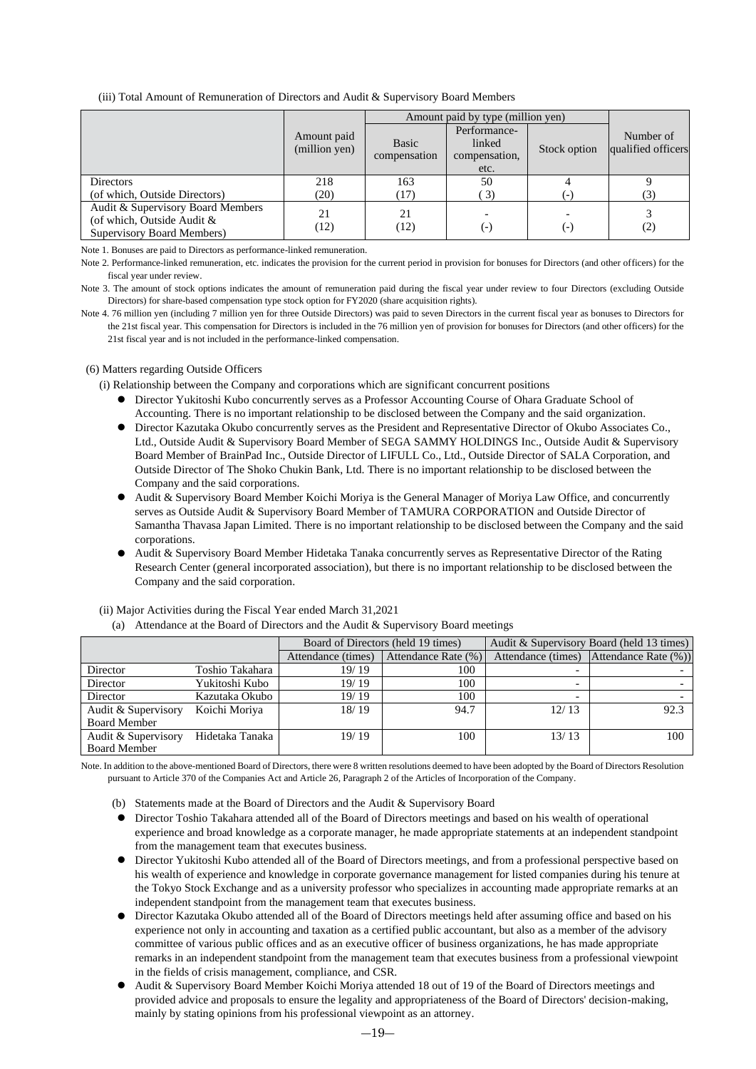#### (iii) Total Amount of Remuneration of Directors and Audit & Supervisory Board Members

|                                                                                                  |                              | Amount paid by type (million yen) |                                         |              |                                 |
|--------------------------------------------------------------------------------------------------|------------------------------|-----------------------------------|-----------------------------------------|--------------|---------------------------------|
|                                                                                                  | Amount paid<br>(million yen) | Basic<br>compensation             | Performance-<br>linked<br>compensation, | Stock option | Number of<br>qualified officers |
|                                                                                                  |                              |                                   | etc.                                    |              |                                 |
| Directors                                                                                        | 218                          | 163                               | 50                                      |              |                                 |
| (of which, Outside Directors)                                                                    | (20)                         | (17)                              | $\left(3\right)$                        |              | (3)                             |
| Audit & Supervisory Board Members<br>(of which, Outside Audit $\&$<br>Supervisory Board Members) | 21<br>(12)                   | 21<br>(12)                        | ( – )                                   | ( – )        | (2)                             |

Note 1. Bonuses are paid to Directors as performance-linked remuneration.

Note 2. Performance-linked remuneration, etc. indicates the provision for the current period in provision for bonuses for Directors (and other officers) for the fiscal year under review.

Note 3. The amount of stock options indicates the amount of remuneration paid during the fiscal year under review to four Directors (excluding Outside Directors) for share-based compensation type stock option for FY2020 (share acquisition rights).

Note 4. 76 million yen (including 7 million yen for three Outside Directors) was paid to seven Directors in the current fiscal year as bonuses to Directors for the 21st fiscal year. This compensation for Directors is included in the 76 million yen of provision for bonuses for Directors (and other officers) for the 21st fiscal year and is not included in the performance-linked compensation.

#### (6) Matters regarding Outside Officers

(i) Relationship between the Company and corporations which are significant concurrent positions

- ⚫ Director Yukitoshi Kubo concurrently serves as a Professor Accounting Course of Ohara Graduate School of Accounting. There is no important relationship to be disclosed between the Company and the said organization.
- ⚫ Director Kazutaka Okubo concurrently serves as the President and Representative Director of Okubo Associates Co., Ltd., Outside Audit & Supervisory Board Member of SEGA SAMMY HOLDINGS Inc., Outside Audit & Supervisory Board Member of BrainPad Inc., Outside Director of LIFULL Co., Ltd., Outside Director of SALA Corporation, and Outside Director of The Shoko Chukin Bank, Ltd. There is no important relationship to be disclosed between the Company and the said corporations.
- ⚫ Audit & Supervisory Board Member Koichi Moriya is the General Manager of Moriya Law Office, and concurrently serves as Outside Audit & Supervisory Board Member of TAMURA CORPORATION and Outside Director of Samantha Thavasa Japan Limited. There is no important relationship to be disclosed between the Company and the said corporations.
- ⚫ Audit & Supervisory Board Member Hidetaka Tanaka concurrently serves as Representative Director of the Rating Research Center (general incorporated association), but there is no important relationship to be disclosed between the Company and the said corporation.

|                     | The component we are points of Biroccord and the France of Dapor (1991) Board moodings |                    |                                    |                                           |                      |  |  |  |
|---------------------|----------------------------------------------------------------------------------------|--------------------|------------------------------------|-------------------------------------------|----------------------|--|--|--|
|                     |                                                                                        |                    | Board of Directors (held 19 times) | Audit & Supervisory Board (held 13 times) |                      |  |  |  |
|                     |                                                                                        | Attendance (times) | Attendance Rate (%)                | Attendance (times)                        | Attendance Rate (%)) |  |  |  |
| Director            | Toshio Takahara                                                                        | 19/19              | 100                                |                                           |                      |  |  |  |
| Director            | Yukitoshi Kubo                                                                         | 19/19              | 100                                |                                           |                      |  |  |  |
| Director            | Kazutaka Okubo                                                                         | 19/19              | 100                                |                                           |                      |  |  |  |
| Audit & Supervisory | Koichi Moriya                                                                          | 18/19              | 94.7                               | 12/13                                     | 92.3                 |  |  |  |
| <b>Board Member</b> |                                                                                        |                    |                                    |                                           |                      |  |  |  |
| Audit & Supervisory | Hidetaka Tanaka                                                                        | 19/19              | 100                                | 13/13                                     | 100                  |  |  |  |
| <b>Board Member</b> |                                                                                        |                    |                                    |                                           |                      |  |  |  |

#### (ii) Major Activities during the Fiscal Year ended March 31,2021

(a) Attendance at the Board of Directors and the Audit  $\&$  Supervisory Board meetings

Note. In addition to the above-mentioned Board of Directors, there were 8 written resolutions deemed to have been adopted by the Board of Directors Resolution pursuant to Article 370 of the Companies Act and Article 26, Paragraph 2 of the Articles of Incorporation of the Company.

- (b) Statements made at the Board of Directors and the Audit & Supervisory Board
- ⚫ Director Toshio Takahara attended all of the Board of Directors meetings and based on his wealth of operational experience and broad knowledge as a corporate manager, he made appropriate statements at an independent standpoint from the management team that executes business.
- ⚫ Director Yukitoshi Kubo attended all of the Board of Directors meetings, and from a professional perspective based on his wealth of experience and knowledge in corporate governance management for listed companies during his tenure at the Tokyo Stock Exchange and as a university professor who specializes in accounting made appropriate remarks at an independent standpoint from the management team that executes business.
- ⚫ Director Kazutaka Okubo attended all of the Board of Directors meetings held after assuming office and based on his experience not only in accounting and taxation as a certified public accountant, but also as a member of the advisory committee of various public offices and as an executive officer of business organizations, he has made appropriate remarks in an independent standpoint from the management team that executes business from a professional viewpoint in the fields of crisis management, compliance, and CSR.
- ⚫ Audit & Supervisory Board Member Koichi Moriya attended 18 out of 19 of the Board of Directors meetings and provided advice and proposals to ensure the legality and appropriateness of the Board of Directors' decision-making, mainly by stating opinions from his professional viewpoint as an attorney.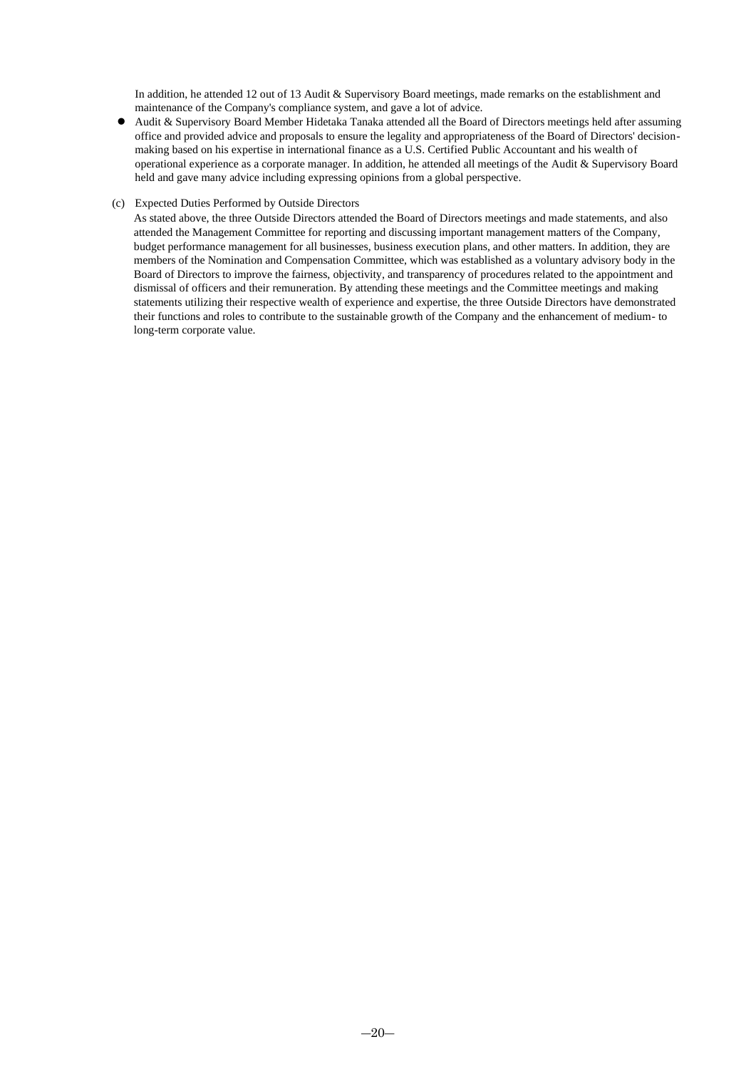In addition, he attended 12 out of 13 Audit & Supervisory Board meetings, made remarks on the establishment and maintenance of the Company's compliance system, and gave a lot of advice.

⚫ Audit & Supervisory Board Member Hidetaka Tanaka attended all the Board of Directors meetings held after assuming office and provided advice and proposals to ensure the legality and appropriateness of the Board of Directors' decisionmaking based on his expertise in international finance as a U.S. Certified Public Accountant and his wealth of operational experience as a corporate manager. In addition, he attended all meetings of the Audit & Supervisory Board held and gave many advice including expressing opinions from a global perspective.

#### (c) Expected Duties Performed by Outside Directors

As stated above, the three Outside Directors attended the Board of Directors meetings and made statements, and also attended the Management Committee for reporting and discussing important management matters of the Company, budget performance management for all businesses, business execution plans, and other matters. In addition, they are members of the Nomination and Compensation Committee, which was established as a voluntary advisory body in the Board of Directors to improve the fairness, objectivity, and transparency of procedures related to the appointment and dismissal of officers and their remuneration. By attending these meetings and the Committee meetings and making statements utilizing their respective wealth of experience and expertise, the three Outside Directors have demonstrated their functions and roles to contribute to the sustainable growth of the Company and the enhancement of medium- to long-term corporate value.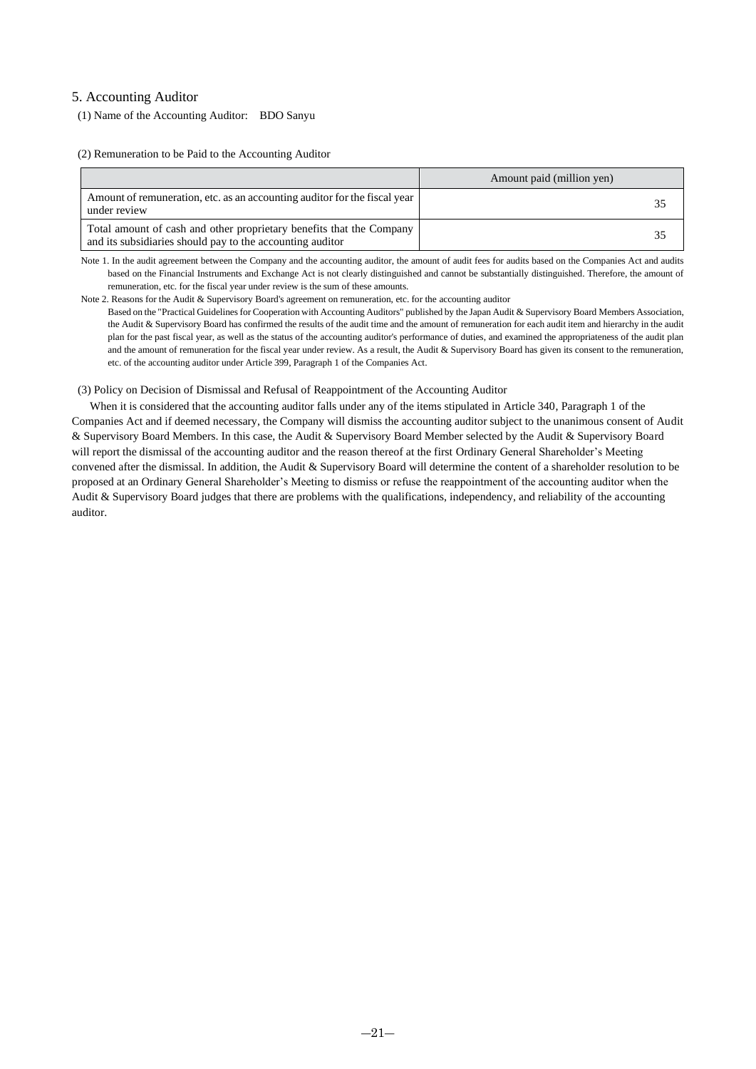### 5. Accounting Auditor

(1) Name of the Accounting Auditor: BDO Sanyu

(2) Remuneration to be Paid to the Accounting Auditor

|                                                                                                                                   | Amount paid (million yen) |
|-----------------------------------------------------------------------------------------------------------------------------------|---------------------------|
| Amount of remuneration, etc. as an accounting auditor for the fiscal year<br>under review                                         | 35                        |
| Total amount of cash and other proprietary benefits that the Company<br>and its subsidiaries should pay to the accounting auditor | 35                        |

Note 1. In the audit agreement between the Company and the accounting auditor, the amount of audit fees for audits based on the Companies Act and audits based on the Financial Instruments and Exchange Act is not clearly distinguished and cannot be substantially distinguished. Therefore, the amount of remuneration, etc. for the fiscal year under review is the sum of these amounts.

Note 2. Reasons for the Audit & Supervisory Board's agreement on remuneration, etc. for the accounting auditor

Based on the "Practical Guidelines for Cooperation with Accounting Auditors" published by the Japan Audit & Supervisory Board Members Association, the Audit & Supervisory Board has confirmed the results of the audit time and the amount of remuneration for each audit item and hierarchy in the audit plan for the past fiscal year, as well as the status of the accounting auditor's performance of duties, and examined the appropriateness of the audit plan and the amount of remuneration for the fiscal year under review. As a result, the Audit & Supervisory Board has given its consent to the remuneration, etc. of the accounting auditor under Article 399, Paragraph 1 of the Companies Act.

(3) Policy on Decision of Dismissal and Refusal of Reappointment of the Accounting Auditor

When it is considered that the accounting auditor falls under any of the items stipulated in Article 340, Paragraph 1 of the Companies Act and if deemed necessary, the Company will dismiss the accounting auditor subject to the unanimous consent of Audit & Supervisory Board Members. In this case, the Audit & Supervisory Board Member selected by the Audit & Supervisory Board will report the dismissal of the accounting auditor and the reason thereof at the first Ordinary General Shareholder's Meeting convened after the dismissal. In addition, the Audit & Supervisory Board will determine the content of a shareholder resolution to be proposed at an Ordinary General Shareholder's Meeting to dismiss or refuse the reappointment of the accounting auditor when the Audit & Supervisory Board judges that there are problems with the qualifications, independency, and reliability of the accounting auditor.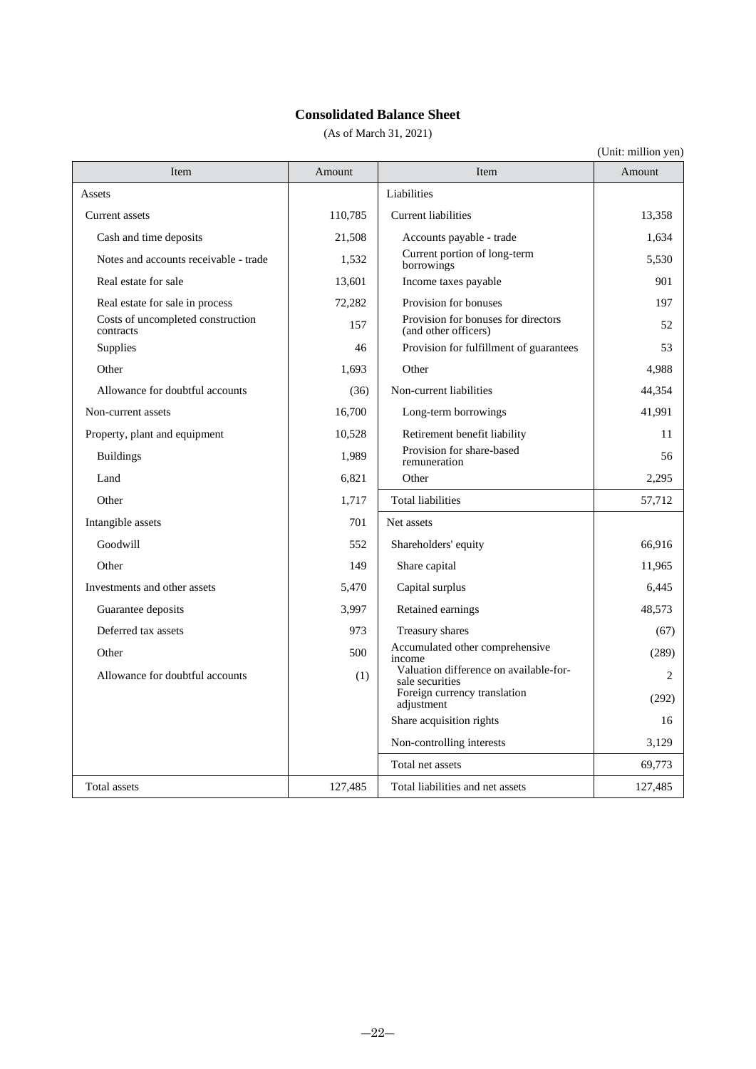### **Consolidated Balance Sheet**

(As of March 31, 2021)

| Item                                           | Amount  | Item                                                        | Amount  |
|------------------------------------------------|---------|-------------------------------------------------------------|---------|
| Assets                                         |         | Liabilities                                                 |         |
| Current assets                                 | 110,785 | Current liabilities                                         | 13,358  |
| Cash and time deposits                         | 21,508  | Accounts payable - trade                                    | 1.634   |
| Notes and accounts receivable - trade          | 1,532   | Current portion of long-term<br>borrowings                  | 5,530   |
| Real estate for sale                           | 13,601  | Income taxes payable                                        | 901     |
| Real estate for sale in process                | 72,282  | Provision for bonuses                                       | 197     |
| Costs of uncompleted construction<br>contracts | 157     | Provision for bonuses for directors<br>(and other officers) | 52      |
| Supplies                                       | 46      | Provision for fulfillment of guarantees                     | 53      |
| Other                                          | 1,693   | Other                                                       | 4,988   |
| Allowance for doubtful accounts                | (36)    | Non-current liabilities                                     | 44,354  |
| Non-current assets                             | 16,700  | Long-term borrowings                                        | 41,991  |
| Property, plant and equipment                  | 10,528  | Retirement benefit liability                                | 11      |
| <b>Buildings</b>                               | 1,989   | Provision for share-based<br>remuneration                   | 56      |
| Land                                           | 6,821   | Other                                                       | 2,295   |
| Other                                          | 1,717   | <b>Total liabilities</b>                                    | 57,712  |
| Intangible assets                              | 701     | Net assets                                                  |         |
| Goodwill                                       | 552     | Shareholders' equity                                        | 66,916  |
| Other                                          | 149     | Share capital                                               | 11,965  |
| Investments and other assets                   | 5,470   | Capital surplus                                             | 6,445   |
| Guarantee deposits                             | 3,997   | Retained earnings                                           | 48,573  |
| Deferred tax assets                            | 973     | Treasury shares                                             | (67)    |
| Other                                          | 500     | Accumulated other comprehensive<br>income                   | (289)   |
| Allowance for doubtful accounts                | (1)     | Valuation difference on available-for-<br>sale securities   | 2       |
|                                                |         | Foreign currency translation<br>adjustment                  | (292)   |
|                                                |         | Share acquisition rights                                    | 16      |
|                                                |         | Non-controlling interests                                   | 3,129   |
|                                                |         | Total net assets                                            | 69,773  |
| Total assets                                   | 127,485 | Total liabilities and net assets                            | 127,485 |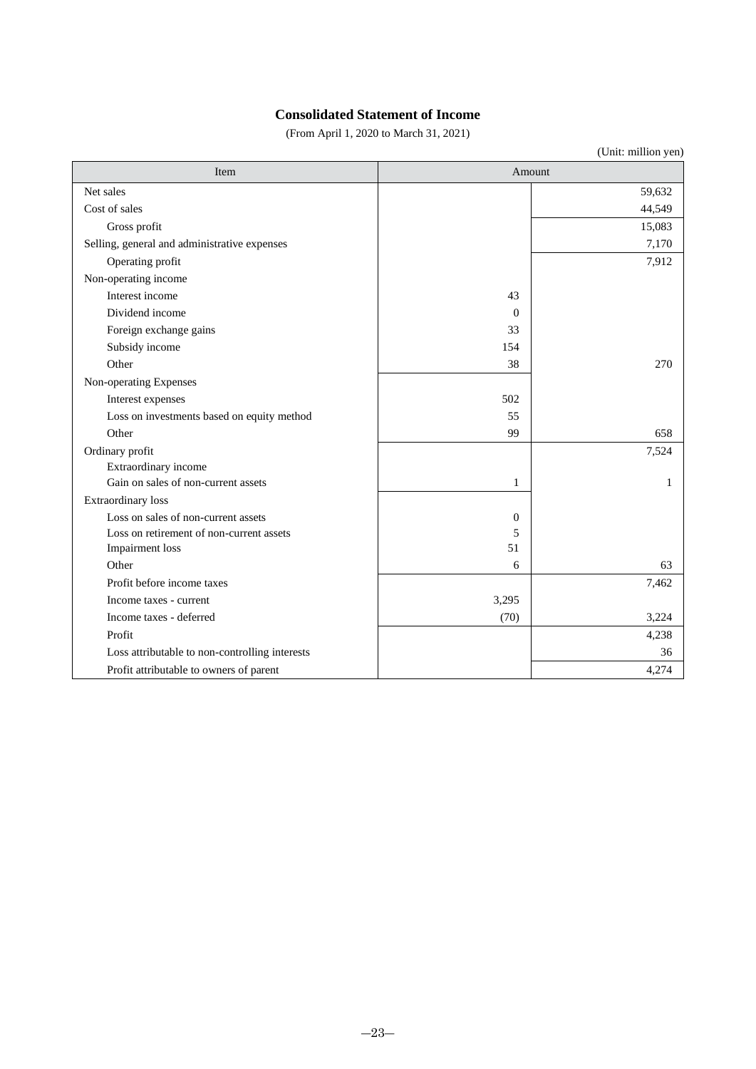### **Consolidated Statement of Income**

(From April 1, 2020 to March 31, 2021)

| Item                                           |              | Amount |
|------------------------------------------------|--------------|--------|
| Net sales                                      |              | 59,632 |
| Cost of sales                                  |              | 44,549 |
| Gross profit                                   |              | 15,083 |
| Selling, general and administrative expenses   |              | 7,170  |
| Operating profit                               |              | 7,912  |
| Non-operating income                           |              |        |
| Interest income                                | 43           |        |
| Dividend income                                | $\Omega$     |        |
| Foreign exchange gains                         | 33           |        |
| Subsidy income                                 | 154          |        |
| Other                                          | 38           | 270    |
| Non-operating Expenses                         |              |        |
| Interest expenses                              | 502          |        |
| Loss on investments based on equity method     | 55           |        |
| Other                                          | 99           | 658    |
| Ordinary profit                                |              | 7,524  |
| Extraordinary income                           |              |        |
| Gain on sales of non-current assets            | 1            | 1      |
| Extraordinary loss                             |              |        |
| Loss on sales of non-current assets            | $\mathbf{0}$ |        |
| Loss on retirement of non-current assets       | 5            |        |
| <b>Impairment</b> loss                         | 51           |        |
| Other                                          | 6            | 63     |
| Profit before income taxes                     |              | 7,462  |
| Income taxes - current                         | 3,295        |        |
| Income taxes - deferred                        | (70)         | 3,224  |
| Profit                                         |              | 4,238  |
| Loss attributable to non-controlling interests |              | 36     |
| Profit attributable to owners of parent        |              | 4,274  |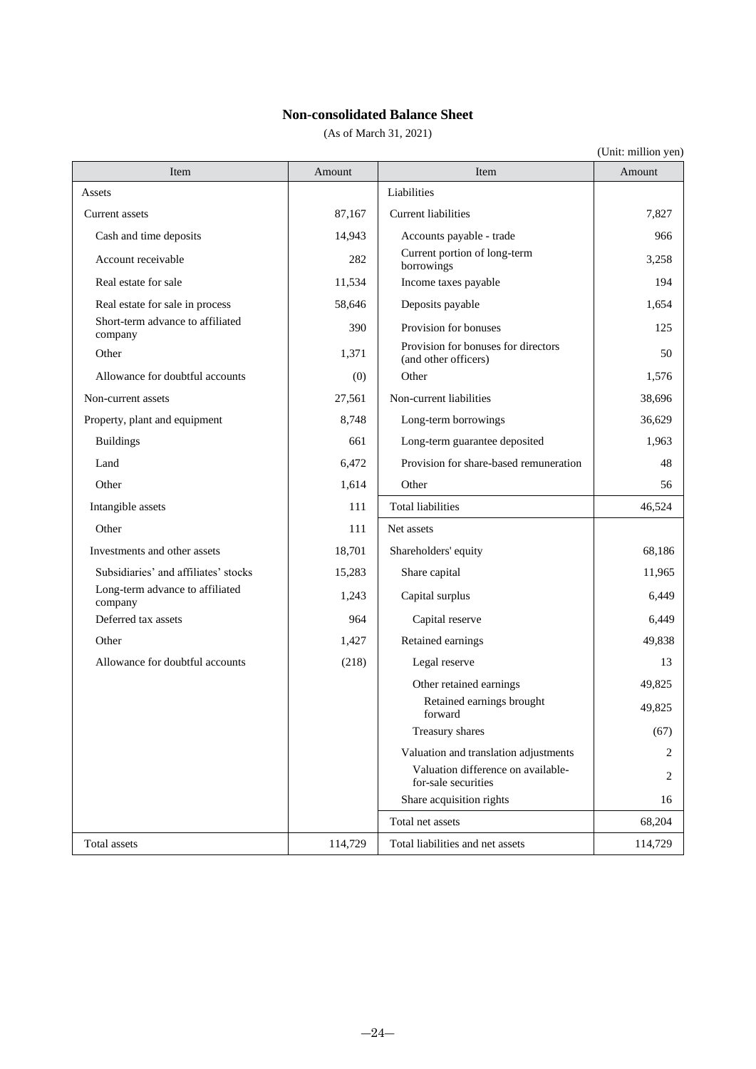### **Non-consolidated Balance Sheet**

(As of March 31, 2021)

| Item                                        | Amount  | Item                                                        | Amount  |
|---------------------------------------------|---------|-------------------------------------------------------------|---------|
| Assets                                      |         | Liabilities                                                 |         |
| Current assets                              | 87,167  | Current liabilities                                         | 7,827   |
| Cash and time deposits                      | 14,943  | Accounts payable - trade                                    | 966     |
| Account receivable                          | 282     | Current portion of long-term<br>borrowings                  | 3,258   |
| Real estate for sale                        | 11,534  | Income taxes payable                                        | 194     |
| Real estate for sale in process             | 58,646  | Deposits payable                                            | 1,654   |
| Short-term advance to affiliated<br>company | 390     | Provision for bonuses                                       | 125     |
| Other                                       | 1,371   | Provision for bonuses for directors<br>(and other officers) | 50      |
| Allowance for doubtful accounts             | (0)     | Other                                                       | 1,576   |
| Non-current assets                          | 27,561  | Non-current liabilities                                     | 38,696  |
| Property, plant and equipment               | 8,748   | Long-term borrowings                                        | 36,629  |
| <b>Buildings</b>                            | 661     | Long-term guarantee deposited                               | 1,963   |
| Land                                        | 6,472   | Provision for share-based remuneration                      | 48      |
| Other                                       | 1,614   | Other                                                       | 56      |
| Intangible assets                           | 111     | <b>Total liabilities</b>                                    | 46,524  |
| Other                                       | 111     | Net assets                                                  |         |
| Investments and other assets                | 18,701  | Shareholders' equity                                        | 68,186  |
| Subsidiaries' and affiliates' stocks        | 15,283  | Share capital                                               | 11,965  |
| Long-term advance to affiliated<br>company  | 1,243   | Capital surplus                                             | 6,449   |
| Deferred tax assets                         | 964     | Capital reserve                                             | 6,449   |
| Other                                       | 1,427   | Retained earnings                                           | 49,838  |
| Allowance for doubtful accounts             | (218)   | Legal reserve                                               | 13      |
|                                             |         | Other retained earnings                                     | 49,825  |
|                                             |         | Retained earnings brought<br>forward                        | 49,825  |
|                                             |         | Treasury shares                                             | (67)    |
|                                             |         | Valuation and translation adjustments                       | 2       |
|                                             |         | Valuation difference on available-<br>for-sale securities   | 2       |
|                                             |         | Share acquisition rights                                    | 16      |
|                                             |         | Total net assets                                            | 68,204  |
| Total assets                                | 114,729 | Total liabilities and net assets                            | 114,729 |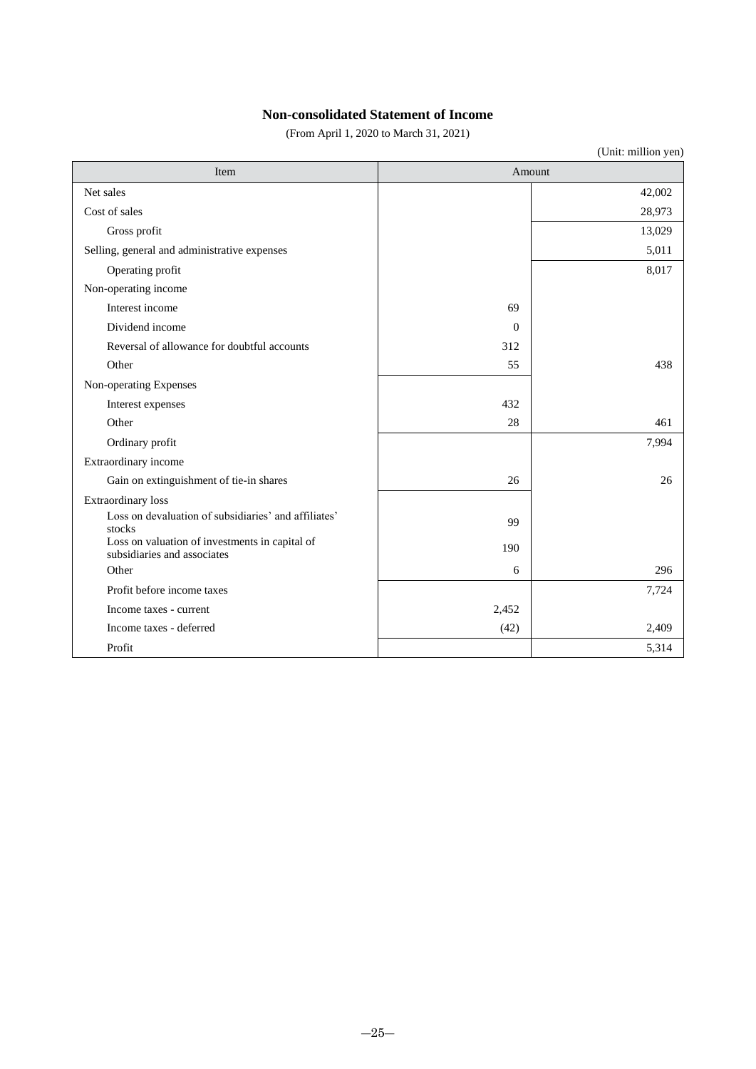### **Non-consolidated Statement of Income**

(From April 1, 2020 to March 31, 2021)

| Item                                                                          | Amount   |        |
|-------------------------------------------------------------------------------|----------|--------|
| Net sales                                                                     |          | 42,002 |
| Cost of sales                                                                 |          | 28,973 |
| Gross profit                                                                  |          | 13,029 |
| Selling, general and administrative expenses                                  |          | 5,011  |
| Operating profit                                                              |          | 8,017  |
| Non-operating income                                                          |          |        |
| Interest income                                                               | 69       |        |
| Dividend income                                                               | $\Omega$ |        |
| Reversal of allowance for doubtful accounts                                   | 312      |        |
| Other                                                                         | 55       | 438    |
| Non-operating Expenses                                                        |          |        |
| Interest expenses                                                             | 432      |        |
| Other                                                                         | 28       | 461    |
| Ordinary profit                                                               |          | 7,994  |
| Extraordinary income                                                          |          |        |
| Gain on extinguishment of tie-in shares                                       | 26       | 26     |
| Extraordinary loss                                                            |          |        |
| Loss on devaluation of subsidiaries' and affiliates'<br>stocks                | 99       |        |
| Loss on valuation of investments in capital of<br>subsidiaries and associates | 190      |        |
| Other                                                                         | 6        | 296    |
| Profit before income taxes                                                    |          | 7,724  |
| Income taxes - current                                                        | 2,452    |        |
| Income taxes - deferred                                                       | (42)     | 2,409  |
| Profit                                                                        |          | 5,314  |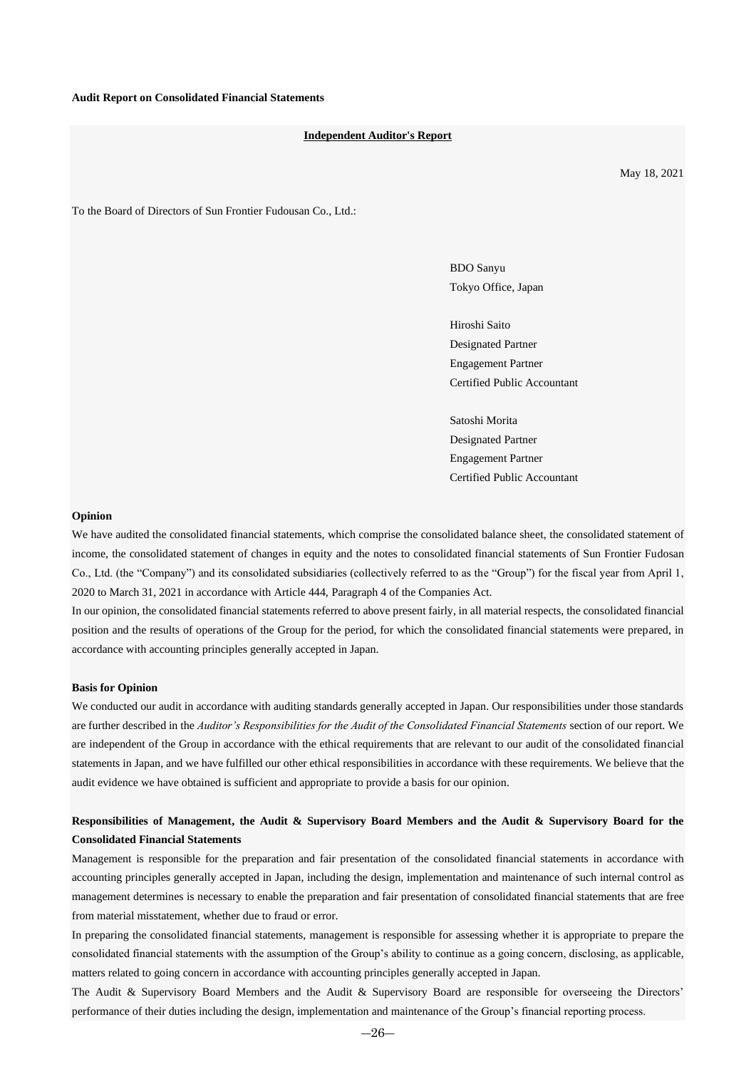#### **Independent Auditor's Report**

May 18, 2021

To the Board of Directors of Sun Frontier Fudousan Co., Ltd.:

BDO Sanyu Tokyo Office, Japan

Hiroshi Saito Designated Partner Engagement Partner Certified Public Accountant

Satoshi Morita Designated Partner Engagement Partner Certified Public Accountant

#### **Opinion**

We have audited the consolidated financial statements, which comprise the consolidated balance sheet, the consolidated statement of income, the consolidated statement of changes in equity and the notes to consolidated financial statements of Sun Frontier Fudosan Co., Ltd. (the "Company") and its consolidated subsidiaries (collectively referred to as the "Group") for the fiscal year from April 1, 2020 to March 31, 2021 in accordance with Article 444, Paragraph 4 of the Companies Act.

In our opinion, the consolidated financial statements referred to above present fairly, in all material respects, the consolidated financial position and the results of operations of the Group for the period, for which the consolidated financial statements were prepared, in accordance with accounting principles generally accepted in Japan.

#### **Basis for Opinion**

We conducted our audit in accordance with auditing standards generally accepted in Japan. Our responsibilities under those standards are further described in the *Auditor's Responsibilities for the Audit of the Consolidated Financial Statements* section of our report. We are independent of the Group in accordance with the ethical requirements that are relevant to our audit of the consolidated financial statements in Japan, and we have fulfilled our other ethical responsibilities in accordance with these requirements. We believe that the audit evidence we have obtained is sufficient and appropriate to provide a basis for our opinion.

### **Responsibilities of Management, the Audit & Supervisory Board Members and the Audit & Supervisory Board for the Consolidated Financial Statements**

Management is responsible for the preparation and fair presentation of the consolidated financial statements in accordance with accounting principles generally accepted in Japan, including the design, implementation and maintenance of such internal control as management determines is necessary to enable the preparation and fair presentation of consolidated financial statements that are free from material misstatement, whether due to fraud or error.

In preparing the consolidated financial statements, management is responsible for assessing whether it is appropriate to prepare the consolidated financial statements with the assumption of the Group's ability to continue as a going concern, disclosing, as applicable, matters related to going concern in accordance with accounting principles generally accepted in Japan.

The Audit & Supervisory Board Members and the Audit & Supervisory Board are responsible for overseeing the Directors' performance of their duties including the design, implementation and maintenance of the Group's financial reporting process.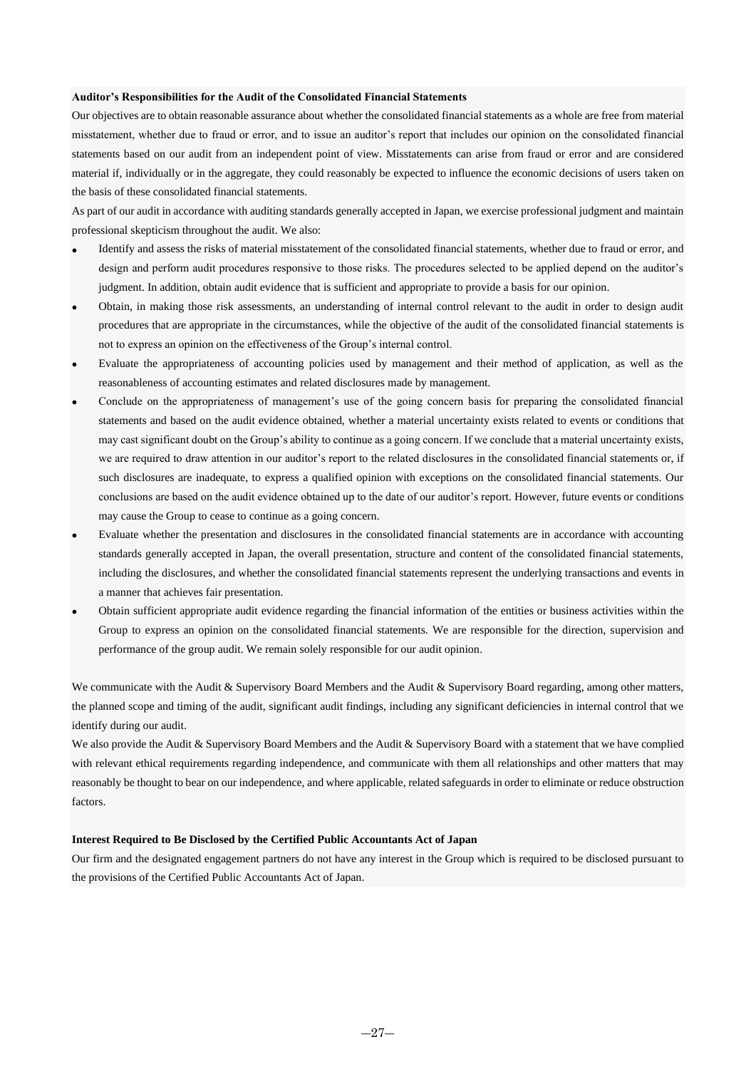#### **Auditor's Responsibilities for the Audit of the Consolidated Financial Statements**

Our objectives are to obtain reasonable assurance about whether the consolidated financial statements as a whole are free from material misstatement, whether due to fraud or error, and to issue an auditor's report that includes our opinion on the consolidated financial statements based on our audit from an independent point of view. Misstatements can arise from fraud or error and are considered material if, individually or in the aggregate, they could reasonably be expected to influence the economic decisions of users taken on the basis of these consolidated financial statements.

As part of our audit in accordance with auditing standards generally accepted in Japan, we exercise professional judgment and maintain professional skepticism throughout the audit. We also:

- Identify and assess the risks of material misstatement of the consolidated financial statements, whether due to fraud or error, and design and perform audit procedures responsive to those risks. The procedures selected to be applied depend on the auditor's judgment. In addition, obtain audit evidence that is sufficient and appropriate to provide a basis for our opinion.
- Obtain, in making those risk assessments, an understanding of internal control relevant to the audit in order to design audit procedures that are appropriate in the circumstances, while the objective of the audit of the consolidated financial statements is not to express an opinion on the effectiveness of the Group's internal control.
- Evaluate the appropriateness of accounting policies used by management and their method of application, as well as the reasonableness of accounting estimates and related disclosures made by management.
- Conclude on the appropriateness of management's use of the going concern basis for preparing the consolidated financial statements and based on the audit evidence obtained, whether a material uncertainty exists related to events or conditions that may cast significant doubt on the Group's ability to continue as a going concern. If we conclude that a material uncertainty exists, we are required to draw attention in our auditor's report to the related disclosures in the consolidated financial statements or, if such disclosures are inadequate, to express a qualified opinion with exceptions on the consolidated financial statements. Our conclusions are based on the audit evidence obtained up to the date of our auditor's report. However, future events or conditions may cause the Group to cease to continue as a going concern.
- Evaluate whether the presentation and disclosures in the consolidated financial statements are in accordance with accounting standards generally accepted in Japan, the overall presentation, structure and content of the consolidated financial statements, including the disclosures, and whether the consolidated financial statements represent the underlying transactions and events in a manner that achieves fair presentation.
- Obtain sufficient appropriate audit evidence regarding the financial information of the entities or business activities within the Group to express an opinion on the consolidated financial statements. We are responsible for the direction, supervision and performance of the group audit. We remain solely responsible for our audit opinion.

We communicate with the Audit & Supervisory Board Members and the Audit & Supervisory Board regarding, among other matters, the planned scope and timing of the audit, significant audit findings, including any significant deficiencies in internal control that we identify during our audit.

We also provide the Audit & Supervisory Board Members and the Audit & Supervisory Board with a statement that we have complied with relevant ethical requirements regarding independence, and communicate with them all relationships and other matters that may reasonably be thought to bear on our independence, and where applicable, related safeguards in order to eliminate or reduce obstruction factors.

#### **Interest Required to Be Disclosed by the Certified Public Accountants Act of Japan**

Our firm and the designated engagement partners do not have any interest in the Group which is required to be disclosed pursuant to the provisions of the Certified Public Accountants Act of Japan.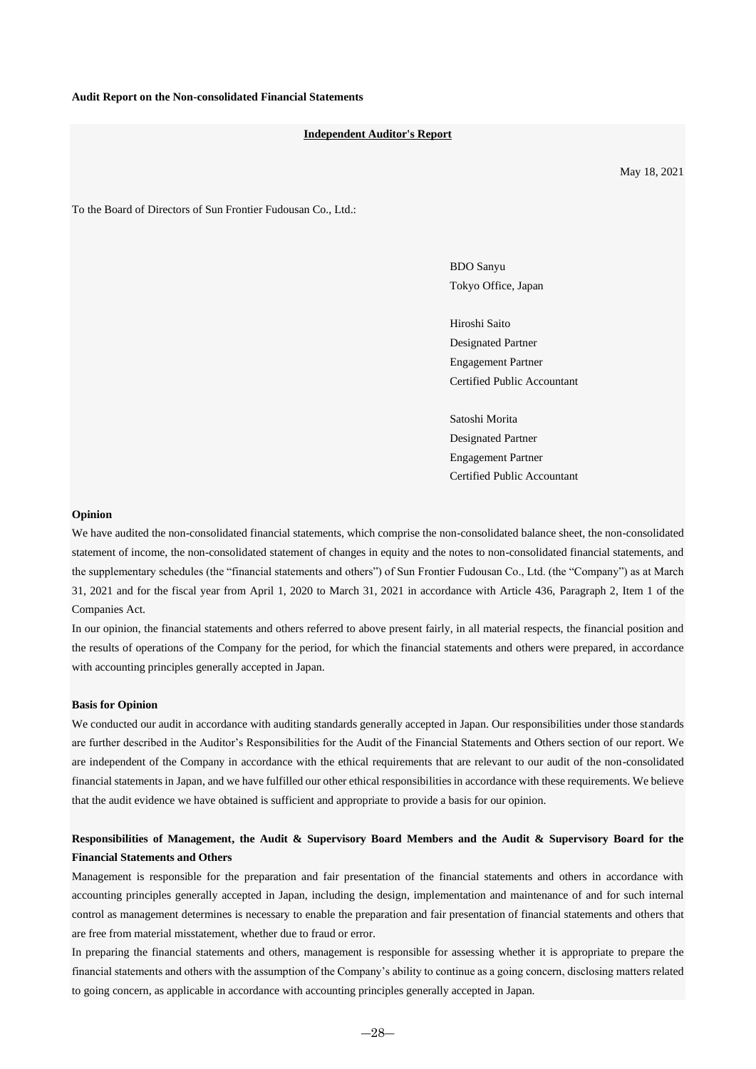#### **Independent Auditor's Report**

May 18, 2021

To the Board of Directors of Sun Frontier Fudousan Co., Ltd.:

BDO Sanyu Tokyo Office, Japan

Hiroshi Saito Designated Partner Engagement Partner Certified Public Accountant

Satoshi Morita Designated Partner Engagement Partner Certified Public Accountant

#### **Opinion**

We have audited the non-consolidated financial statements, which comprise the non-consolidated balance sheet, the non-consolidated statement of income, the non-consolidated statement of changes in equity and the notes to non-consolidated financial statements, and the supplementary schedules (the "financial statements and others") of Sun Frontier Fudousan Co., Ltd. (the "Company") as at March 31, 2021 and for the fiscal year from April 1, 2020 to March 31, 2021 in accordance with Article 436, Paragraph 2, Item 1 of the Companies Act.

In our opinion, the financial statements and others referred to above present fairly, in all material respects, the financial position and the results of operations of the Company for the period, for which the financial statements and others were prepared, in accordance with accounting principles generally accepted in Japan.

#### **Basis for Opinion**

We conducted our audit in accordance with auditing standards generally accepted in Japan. Our responsibilities under those standards are further described in the Auditor's Responsibilities for the Audit of the Financial Statements and Others section of our report. We are independent of the Company in accordance with the ethical requirements that are relevant to our audit of the non-consolidated financial statements in Japan, and we have fulfilled our other ethical responsibilities in accordance with these requirements. We believe that the audit evidence we have obtained is sufficient and appropriate to provide a basis for our opinion.

## **Responsibilities of Management, the Audit & Supervisory Board Members and the Audit & Supervisory Board for the Financial Statements and Others**

Management is responsible for the preparation and fair presentation of the financial statements and others in accordance with accounting principles generally accepted in Japan, including the design, implementation and maintenance of and for such internal control as management determines is necessary to enable the preparation and fair presentation of financial statements and others that are free from material misstatement, whether due to fraud or error.

In preparing the financial statements and others, management is responsible for assessing whether it is appropriate to prepare the financial statements and others with the assumption of the Company's ability to continue as a going concern, disclosing matters related to going concern, as applicable in accordance with accounting principles generally accepted in Japan.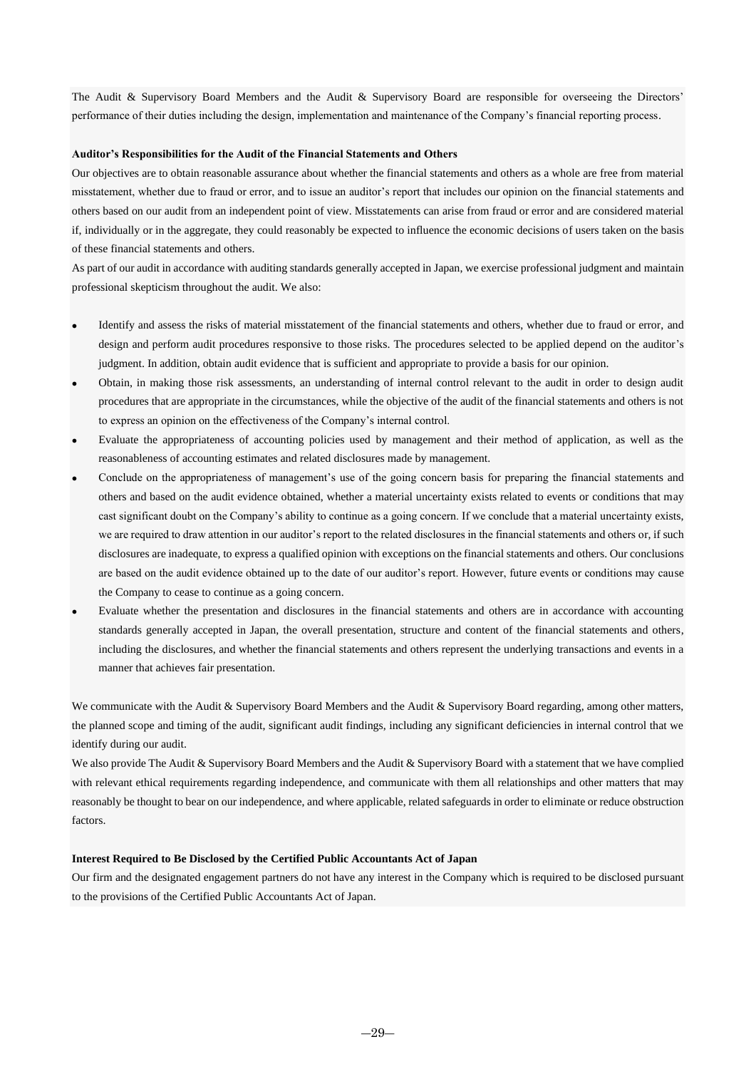The Audit & Supervisory Board Members and the Audit & Supervisory Board are responsible for overseeing the Directors' performance of their duties including the design, implementation and maintenance of the Company's financial reporting process.

#### **Auditor's Responsibilities for the Audit of the Financial Statements and Others**

Our objectives are to obtain reasonable assurance about whether the financial statements and others as a whole are free from material misstatement, whether due to fraud or error, and to issue an auditor's report that includes our opinion on the financial statements and others based on our audit from an independent point of view. Misstatements can arise from fraud or error and are considered material if, individually or in the aggregate, they could reasonably be expected to influence the economic decisions of users taken on the basis of these financial statements and others.

As part of our audit in accordance with auditing standards generally accepted in Japan, we exercise professional judgment and maintain professional skepticism throughout the audit. We also:

- Identify and assess the risks of material misstatement of the financial statements and others, whether due to fraud or error, and design and perform audit procedures responsive to those risks. The procedures selected to be applied depend on the auditor's judgment. In addition, obtain audit evidence that is sufficient and appropriate to provide a basis for our opinion.
- Obtain, in making those risk assessments, an understanding of internal control relevant to the audit in order to design audit procedures that are appropriate in the circumstances, while the objective of the audit of the financial statements and others is not to express an opinion on the effectiveness of the Company's internal control.
- Evaluate the appropriateness of accounting policies used by management and their method of application, as well as the reasonableness of accounting estimates and related disclosures made by management.
- Conclude on the appropriateness of management's use of the going concern basis for preparing the financial statements and others and based on the audit evidence obtained, whether a material uncertainty exists related to events or conditions that may cast significant doubt on the Company's ability to continue as a going concern. If we conclude that a material uncertainty exists, we are required to draw attention in our auditor's report to the related disclosures in the financial statements and others or, if such disclosures are inadequate, to express a qualified opinion with exceptions on the financial statements and others. Our conclusions are based on the audit evidence obtained up to the date of our auditor's report. However, future events or conditions may cause the Company to cease to continue as a going concern.
- Evaluate whether the presentation and disclosures in the financial statements and others are in accordance with accounting standards generally accepted in Japan, the overall presentation, structure and content of the financial statements and others, including the disclosures, and whether the financial statements and others represent the underlying transactions and events in a manner that achieves fair presentation.

We communicate with the Audit & Supervisory Board Members and the Audit & Supervisory Board regarding, among other matters, the planned scope and timing of the audit, significant audit findings, including any significant deficiencies in internal control that we identify during our audit.

We also provide The Audit & Supervisory Board Members and the Audit & Supervisory Board with a statement that we have complied with relevant ethical requirements regarding independence, and communicate with them all relationships and other matters that may reasonably be thought to bear on our independence, and where applicable, related safeguards in order to eliminate or reduce obstruction factors.

#### **Interest Required to Be Disclosed by the Certified Public Accountants Act of Japan**

Our firm and the designated engagement partners do not have any interest in the Company which is required to be disclosed pursuant to the provisions of the Certified Public Accountants Act of Japan.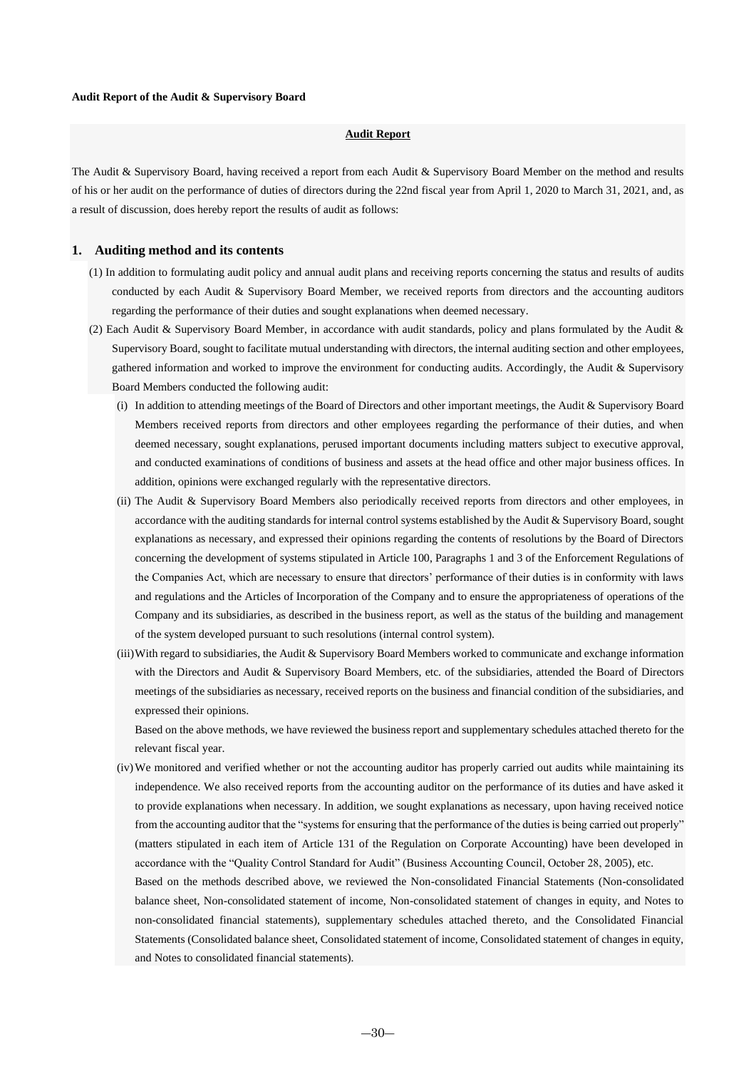### **Audit Report**

The Audit & Supervisory Board, having received a report from each Audit & Supervisory Board Member on the method and results of his or her audit on the performance of duties of directors during the 22nd fiscal year from April 1, 2020 to March 31, 2021, and, as a result of discussion, does hereby report the results of audit as follows:

### **1. Auditing method and its contents**

- (1) In addition to formulating audit policy and annual audit plans and receiving reports concerning the status and results of audits conducted by each Audit & Supervisory Board Member, we received reports from directors and the accounting auditors regarding the performance of their duties and sought explanations when deemed necessary.
- (2) Each Audit & Supervisory Board Member, in accordance with audit standards, policy and plans formulated by the Audit & Supervisory Board, sought to facilitate mutual understanding with directors, the internal auditing section and other employees, gathered information and worked to improve the environment for conducting audits. Accordingly, the Audit & Supervisory Board Members conducted the following audit:
	- (i) In addition to attending meetings of the Board of Directors and other important meetings, the Audit & Supervisory Board Members received reports from directors and other employees regarding the performance of their duties, and when deemed necessary, sought explanations, perused important documents including matters subject to executive approval, and conducted examinations of conditions of business and assets at the head office and other major business offices. In addition, opinions were exchanged regularly with the representative directors.
	- (ii) The Audit & Supervisory Board Members also periodically received reports from directors and other employees, in accordance with the auditing standards for internal control systems established by the Audit & Supervisory Board, sought explanations as necessary, and expressed their opinions regarding the contents of resolutions by the Board of Directors concerning the development of systems stipulated in Article 100, Paragraphs 1 and 3 of the Enforcement Regulations of the Companies Act, which are necessary to ensure that directors' performance of their duties is in conformity with laws and regulations and the Articles of Incorporation of the Company and to ensure the appropriateness of operations of the Company and its subsidiaries, as described in the business report, as well as the status of the building and management of the system developed pursuant to such resolutions (internal control system).
	- (iii)With regard to subsidiaries, the Audit & Supervisory Board Members worked to communicate and exchange information with the Directors and Audit & Supervisory Board Members, etc. of the subsidiaries, attended the Board of Directors meetings of the subsidiaries as necessary, received reports on the business and financial condition of the subsidiaries, and expressed their opinions.

Based on the above methods, we have reviewed the business report and supplementary schedules attached thereto for the relevant fiscal year.

(iv)We monitored and verified whether or not the accounting auditor has properly carried out audits while maintaining its independence. We also received reports from the accounting auditor on the performance of its duties and have asked it to provide explanations when necessary. In addition, we sought explanations as necessary, upon having received notice from the accounting auditor that the "systems for ensuring that the performance of the duties is being carried out properly" (matters stipulated in each item of Article 131 of the Regulation on Corporate Accounting) have been developed in accordance with the "Quality Control Standard for Audit" (Business Accounting Council, October 28, 2005), etc.

Based on the methods described above, we reviewed the Non-consolidated Financial Statements (Non-consolidated balance sheet, Non-consolidated statement of income, Non-consolidated statement of changes in equity, and Notes to non-consolidated financial statements), supplementary schedules attached thereto, and the Consolidated Financial Statements (Consolidated balance sheet, Consolidated statement of income, Consolidated statement of changes in equity, and Notes to consolidated financial statements).